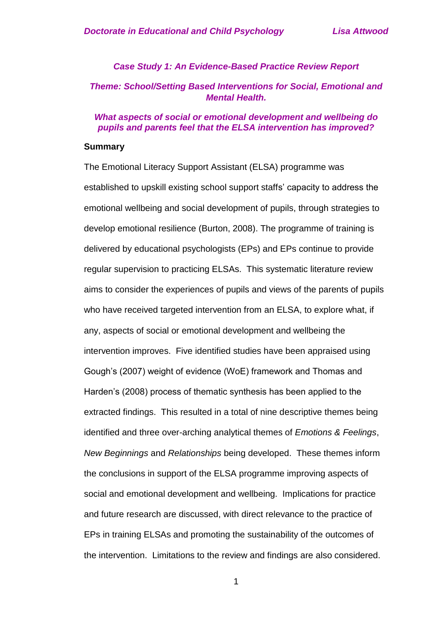### *Case Study 1: An Evidence-Based Practice Review Report Theme: School/Setting Based Interventions for Social, Emotional and Mental Health.*

#### *What aspects of social or emotional development and wellbeing do pupils and parents feel that the ELSA intervention has improved?*

#### **Summary**

The Emotional Literacy Support Assistant (ELSA) programme was established to upskill existing school support staffs' capacity to address the emotional wellbeing and social development of pupils, through strategies to develop emotional resilience (Burton, 2008). The programme of training is delivered by educational psychologists (EPs) and EPs continue to provide regular supervision to practicing ELSAs. This systematic literature review aims to consider the experiences of pupils and views of the parents of pupils who have received targeted intervention from an ELSA, to explore what, if any, aspects of social or emotional development and wellbeing the intervention improves. Five identified studies have been appraised using Gough's (2007) weight of evidence (WoE) framework and Thomas and Harden's (2008) process of thematic synthesis has been applied to the extracted findings. This resulted in a total of nine descriptive themes being identified and three over-arching analytical themes of *Emotions & Feelings*, *New Beginnings* and *Relationships* being developed. These themes inform the conclusions in support of the ELSA programme improving aspects of social and emotional development and wellbeing. Implications for practice and future research are discussed, with direct relevance to the practice of EPs in training ELSAs and promoting the sustainability of the outcomes of the intervention. Limitations to the review and findings are also considered.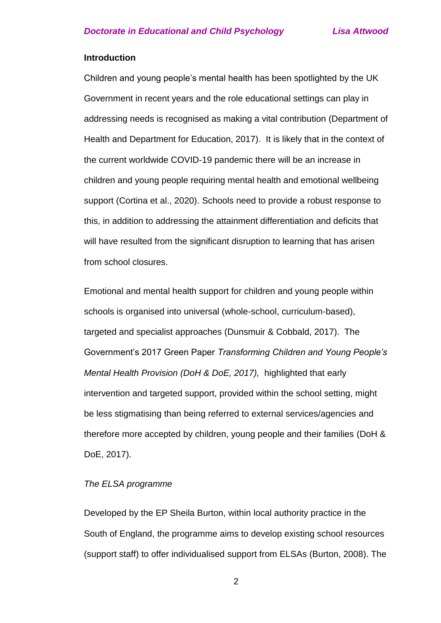#### **Introduction**

Children and young people's mental health has been spotlighted by the UK Government in recent years and the role educational settings can play in addressing needs is recognised as making a vital contribution (Department of Health and Department for Education, 2017). It is likely that in the context of the current worldwide COVID-19 pandemic there will be an increase in children and young people requiring mental health and emotional wellbeing support (Cortina et al., 2020). Schools need to provide a robust response to this, in addition to addressing the attainment differentiation and deficits that will have resulted from the significant disruption to learning that has arisen from school closures.

Emotional and mental health support for children and young people within schools is organised into universal (whole-school, curriculum-based), targeted and specialist approaches (Dunsmuir & Cobbald, 2017). The Government's 2017 Green Paper *Transforming Children and Young People's Mental Health Provision (DoH & DoE, 2017),* highlighted that early intervention and targeted support, provided within the school setting, might be less stigmatising than being referred to external services/agencies and therefore more accepted by children, young people and their families (DoH & DoE, 2017).

#### *The ELSA programme*

Developed by the EP Sheila Burton, within local authority practice in the South of England, the programme aims to develop existing school resources (support staff) to offer individualised support from ELSAs (Burton, 2008). The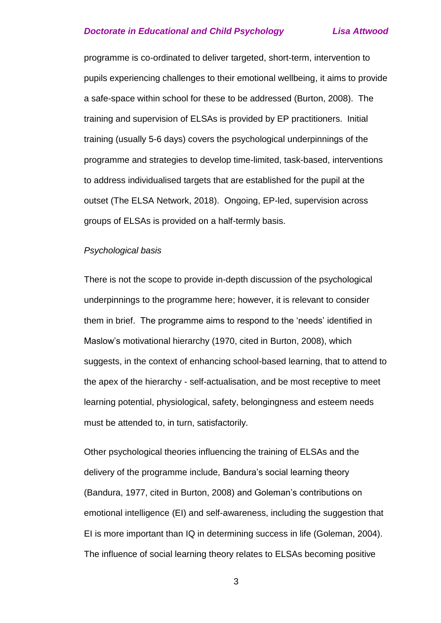programme is co-ordinated to deliver targeted, short-term, intervention to pupils experiencing challenges to their emotional wellbeing, it aims to provide a safe-space within school for these to be addressed (Burton, 2008). The training and supervision of ELSAs is provided by EP practitioners. Initial training (usually 5-6 days) covers the psychological underpinnings of the programme and strategies to develop time-limited, task-based, interventions to address individualised targets that are established for the pupil at the outset (The ELSA Network, 2018). Ongoing, EP-led, supervision across groups of ELSAs is provided on a half-termly basis.

#### *Psychological basis*

There is not the scope to provide in-depth discussion of the psychological underpinnings to the programme here; however, it is relevant to consider them in brief. The programme aims to respond to the 'needs' identified in Maslow's motivational hierarchy (1970, cited in Burton, 2008), which suggests, in the context of enhancing school-based learning, that to attend to the apex of the hierarchy - self-actualisation, and be most receptive to meet learning potential, physiological, safety, belongingness and esteem needs must be attended to, in turn, satisfactorily.

Other psychological theories influencing the training of ELSAs and the delivery of the programme include, Bandura's social learning theory (Bandura, 1977, cited in Burton, 2008) and Goleman's contributions on emotional intelligence (EI) and self-awareness, including the suggestion that EI is more important than IQ in determining success in life (Goleman, 2004). The influence of social learning theory relates to ELSAs becoming positive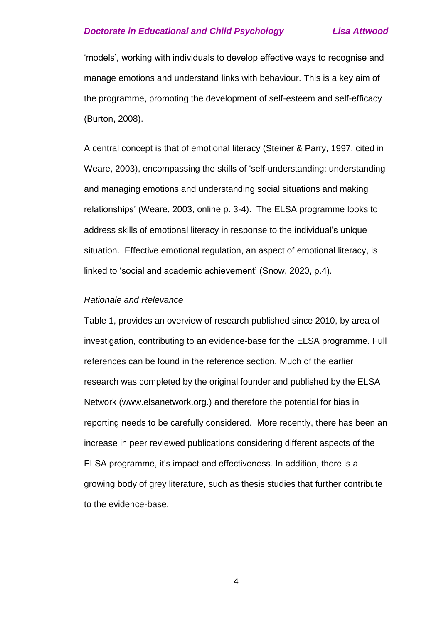'models', working with individuals to develop effective ways to recognise and manage emotions and understand links with behaviour. This is a key aim of the programme, promoting the development of self-esteem and self-efficacy (Burton, 2008).

A central concept is that of emotional literacy (Steiner & Parry, 1997, cited in Weare, 2003), encompassing the skills of 'self-understanding; understanding and managing emotions and understanding social situations and making relationships' (Weare, 2003, online p. 3-4). The ELSA programme looks to address skills of emotional literacy in response to the individual's unique situation. Effective emotional regulation, an aspect of emotional literacy, is linked to 'social and academic achievement' (Snow, 2020, p.4).

#### *Rationale and Relevance*

Table 1, provides an overview of research published since 2010, by area of investigation, contributing to an evidence-base for the ELSA programme. Full references can be found in the reference section. Much of the earlier research was completed by the original founder and published by the ELSA Network (www.elsanetwork.org.) and therefore the potential for bias in reporting needs to be carefully considered. More recently, there has been an increase in peer reviewed publications considering different aspects of the ELSA programme, it's impact and effectiveness. In addition, there is a growing body of grey literature, such as thesis studies that further contribute to the evidence-base.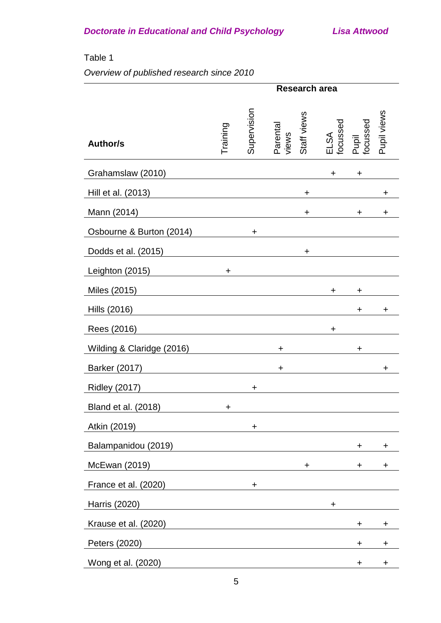### Table 1

## *Overview of published research since 2010*

|                           |                                                                                                                        |             | Research area                    |                                                      |
|---------------------------|------------------------------------------------------------------------------------------------------------------------|-------------|----------------------------------|------------------------------------------------------|
| <b>Author/s</b>           | Training                                                                                                               | Supervision | Staff views<br>Parental<br>views | Pupil views<br>Pupil<br>focussed<br>ELSA<br>focussed |
| Grahamslaw (2010)         |                                                                                                                        |             |                                  | +<br>÷.                                              |
| Hill et al. (2013)        |                                                                                                                        |             | $\ddot{}$                        | $\mathbf +$                                          |
| Mann (2014)               |                                                                                                                        |             | $\ddot{}$                        | ÷<br>$\ddot{}$                                       |
| Osbourne & Burton (2014)  |                                                                                                                        | ÷.          |                                  |                                                      |
| Dodds et al. (2015)       |                                                                                                                        |             | ÷                                |                                                      |
| Leighton (2015)           | $\ddot{}$                                                                                                              |             |                                  |                                                      |
| Miles (2015)              |                                                                                                                        |             |                                  | ÷<br>÷                                               |
| Hills (2016)              |                                                                                                                        |             |                                  | +<br>÷                                               |
| Rees (2016)               |                                                                                                                        |             |                                  | $\ddot{}$                                            |
| Wilding & Claridge (2016) |                                                                                                                        |             | $\ddot{}$                        | $\ddot{}$                                            |
| <b>Barker (2017)</b>      |                                                                                                                        |             | $\ddot{}$                        | ÷                                                    |
| <b>Ridley (2017)</b>      |                                                                                                                        | $\ddot{}$   |                                  |                                                      |
| Bland et al. (2018)       | $\ddot{}$                                                                                                              |             |                                  |                                                      |
| Atkin (2019)              |                                                                                                                        | $\ddot{}$   |                                  |                                                      |
| Balampanidou (2019)       |                                                                                                                        |             |                                  | +<br>٠                                               |
| McEwan (2019)             |                                                                                                                        |             | ÷.                               | $\pm$<br>$\ddot{}$                                   |
| France et al. (2020)      |                                                                                                                        | $\ddot{}$   |                                  |                                                      |
| <b>Harris (2020)</b>      | <u> 1980 - Johann Stoff, deutscher Stoffen und der Stoffen und der Stoffen und der Stoffen und der Stoffen und der</u> |             |                                  | $\ddot{}$                                            |
| Krause et al. (2020)      |                                                                                                                        |             |                                  | ÷.<br>$\ddot{}$                                      |
| Peters (2020)             |                                                                                                                        |             |                                  | +<br>٠                                               |
| Wong et al. (2020)        |                                                                                                                        |             |                                  | +<br>٠                                               |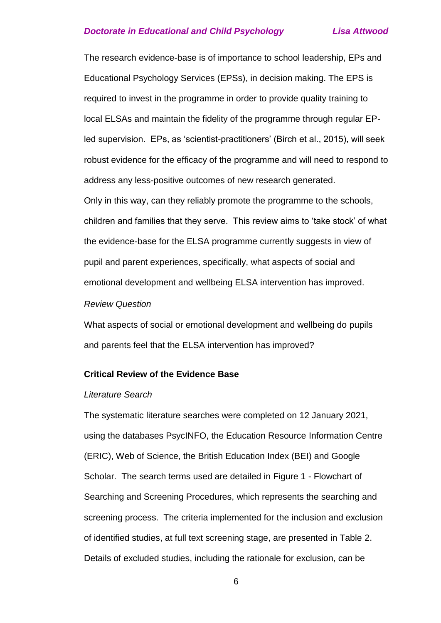The research evidence-base is of importance to school leadership, EPs and Educational Psychology Services (EPSs), in decision making. The EPS is required to invest in the programme in order to provide quality training to local ELSAs and maintain the fidelity of the programme through regular EPled supervision. EPs, as 'scientist-practitioners' (Birch et al., 2015), will seek robust evidence for the efficacy of the programme and will need to respond to address any less-positive outcomes of new research generated. Only in this way, can they reliably promote the programme to the schools, children and families that they serve. This review aims to 'take stock' of what the evidence-base for the ELSA programme currently suggests in view of pupil and parent experiences, specifically, what aspects of social and emotional development and wellbeing ELSA intervention has improved.

#### *Review Question*

What aspects of social or emotional development and wellbeing do pupils and parents feel that the ELSA intervention has improved?

#### **Critical Review of the Evidence Base**

#### *Literature Search*

The systematic literature searches were completed on 12 January 2021, using the databases PsycINFO, the Education Resource Information Centre (ERIC), Web of Science, the British Education Index (BEI) and Google Scholar. The search terms used are detailed in Figure 1 - Flowchart of Searching and Screening Procedures, which represents the searching and screening process. The criteria implemented for the inclusion and exclusion of identified studies, at full text screening stage, are presented in Table 2. Details of excluded studies, including the rationale for exclusion, can be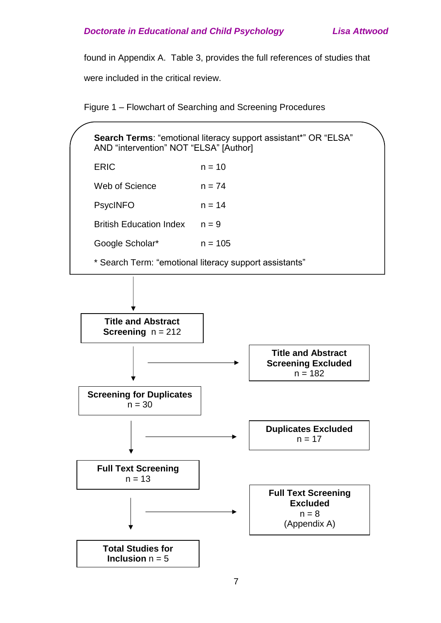found in Appendix A. Table 3, provides the full references of studies that

were included in the critical review.

Figure 1 – Flowchart of Searching and Screening Procedures

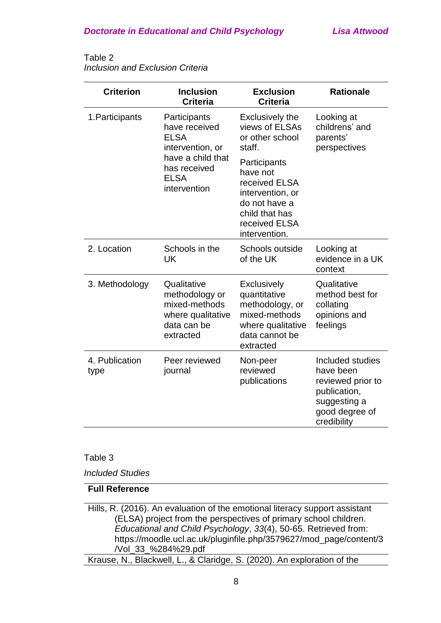#### Table 2 *Inclusion and Exclusion Criteria*

| <b>Criterion</b>       | <b>Inclusion</b><br><b>Criteria</b>                                                             | <b>Exclusion</b><br><b>Criteria</b>                                                                                                | <b>Rationale</b>                                                                                                    |
|------------------------|-------------------------------------------------------------------------------------------------|------------------------------------------------------------------------------------------------------------------------------------|---------------------------------------------------------------------------------------------------------------------|
| 1. Participants        | Participants<br>have received<br><b>ELSA</b><br>intervention, or                                | <b>Exclusively the</b><br>views of ELSAs<br>or other school<br>staff.                                                              | Looking at<br>childrens' and<br>parents'<br>perspectives                                                            |
|                        | have a child that<br>has received<br><b>ELSA</b><br>intervention                                | Participants<br>have not<br>received ELSA<br>intervention, or<br>do not have a<br>child that has<br>received ELSA<br>intervention. |                                                                                                                     |
| 2. Location            | Schools in the<br>UK                                                                            | Schools outside<br>of the UK                                                                                                       | Looking at<br>evidence in a UK<br>context                                                                           |
| 3. Methodology         | Qualitative<br>methodology or<br>mixed-methods<br>where qualitative<br>data can be<br>extracted | <b>Exclusively</b><br>quantitative<br>methodology, or<br>mixed-methods<br>where qualitative<br>data cannot be<br>extracted         | Qualitative<br>method best for<br>collating<br>opinions and<br>feelings                                             |
| 4. Publication<br>type | Peer reviewed<br>journal                                                                        | Non-peer<br>reviewed<br>publications                                                                                               | Included studies<br>have been<br>reviewed prior to<br>publication,<br>suggesting a<br>good degree of<br>credibility |

#### Table 3

*Included Studies*

### **Full Reference**

Hills, R. (2016). An evaluation of the emotional literacy support assistant (ELSA) project from the perspectives of primary school children. *Educational and Child Psychology*, *33*(4), 50-65. Retrieved from: https://moodle.ucl.ac.uk/pluginfile.php/3579627/mod\_page/content/3 /Vol\_33\_%284%29.pdf

Krause, N., Blackwell, L., & Claridge, S. (2020). An exploration of the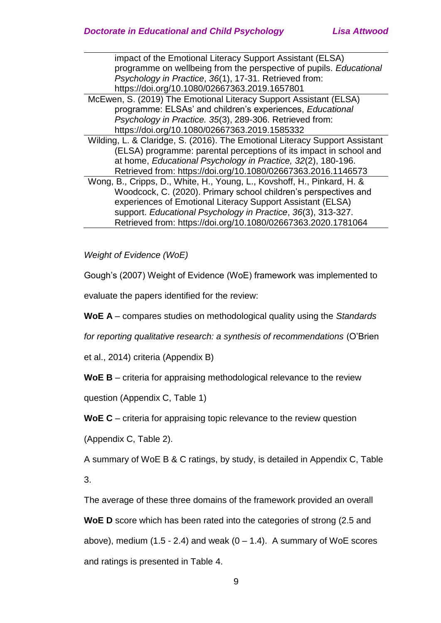impact of the Emotional Literacy Support Assistant (ELSA) programme on wellbeing from the perspective of pupils. *Educational Psychology in Practice*, *36*(1), 17-31. Retrieved from: https://doi.org/10.1080/02667363.2019.1657801

- McEwen, S. (2019) The Emotional Literacy Support Assistant (ELSA) programme: ELSAs' and children's experiences, *Educational Psychology in Practice. 35*(3), 289-306. Retrieved from: https://doi.org/10.1080/02667363.2019.1585332
- Wilding, L. & Claridge, S. (2016). The Emotional Literacy Support Assistant (ELSA) programme: parental perceptions of its impact in school and at home, *Educational Psychology in Practice, 32*(2), 180-196. Retrieved from: https://doi.org/10.1080/02667363.2016.1146573
- Wong, B., Cripps, D., White, H., Young, L., Kovshoff, H., Pinkard, H. & Woodcock, C. (2020). Primary school children's perspectives and experiences of Emotional Literacy Support Assistant (ELSA) support. *Educational Psychology in Practice*, *36*(3), 313-327. Retrieved from: https://doi.org/10.1080/02667363.2020.1781064

*Weight of Evidence (WoE)*

Gough's (2007) Weight of Evidence (WoE) framework was implemented to

evaluate the papers identified for the review:

**WoE A** – compares studies on methodological quality using the *Standards* 

*for reporting qualitative research: a synthesis of recommendations* (O'Brien

et al., 2014) criteria (Appendix B)

**WoE B** – criteria for appraising methodological relevance to the review

question (Appendix C, Table 1)

**WoE C** – criteria for appraising topic relevance to the review question

(Appendix C, Table 2).

A summary of WoE B & C ratings, by study, is detailed in Appendix C, Table

3.

The average of these three domains of the framework provided an overall

**WoE D** score which has been rated into the categories of strong (2.5 and above), medium  $(1.5 - 2.4)$  and weak  $(0 - 1.4)$ . A summary of WoE scores and ratings is presented in Table 4.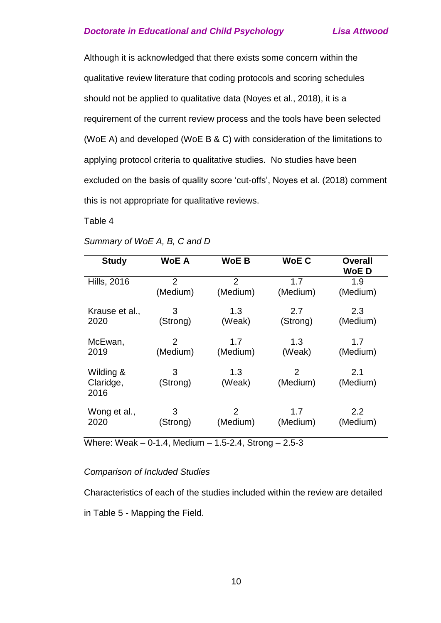Although it is acknowledged that there exists some concern within the qualitative review literature that coding protocols and scoring schedules should not be applied to qualitative data (Noyes et al., 2018), it is a requirement of the current review process and the tools have been selected (WoE A) and developed (WoE B & C) with consideration of the limitations to applying protocol criteria to qualitative studies. No studies have been excluded on the basis of quality score 'cut-offs', Noyes et al. (2018) comment this is not appropriate for qualitative reviews.

Table 4

| <b>Study</b>         | <b>WoE A</b>   | <b>WoE B</b>   | <b>WoE C</b>    | Overall<br>WoE D          |
|----------------------|----------------|----------------|-----------------|---------------------------|
| <b>Hills, 2016</b>   | $\overline{2}$ | $\overline{2}$ | 1.7             | 1.9                       |
|                      | (Medium)       | (Medium)       | (Medium)        | (Medium)                  |
| Krause et al.,       | 3              | 1.3            | 2.7             | 2.3                       |
| 2020                 | (Strong)       | (Weak)         | (Strong)        | (Medium)                  |
| McEwan,              | 2              | 1.7            | 1.3             | 1.7                       |
| 2019                 | (Medium)       | (Medium)       | (Weak)          | (Medium)                  |
| Wilding &            | 3              | 1.3            | $\overline{2}$  | 2.1                       |
| Claridge,<br>2016    | (Strong)       | (Weak)         | (Medium)        | (Medium)                  |
| Wong et al.,<br>2020 | 3<br>(Strong)  | 2<br>(Medium)  | 1.7<br>(Medium) | $2.2^{\circ}$<br>(Medium) |

#### *Summary of WoE A, B, C and D*

Where: Weak – 0-1.4, Medium – 1.5-2.4, Strong – 2.5-3

#### *Comparison of Included Studies*

Characteristics of each of the studies included within the review are detailed

in Table 5 - Mapping the Field.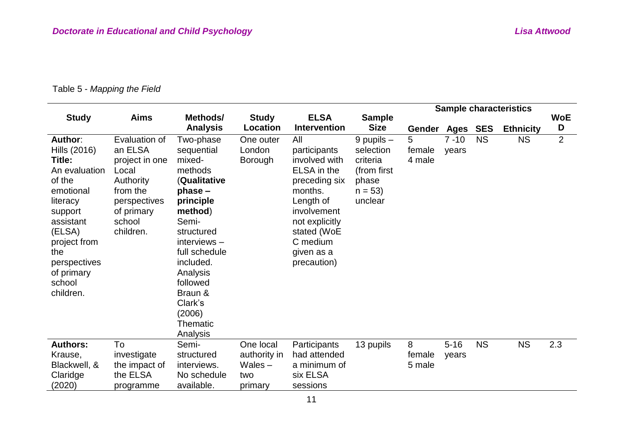## Table 5 - *Mapping the Field*

|                         |                |                           |                                 |                                    |                              |                  |          |           | <b>Sample characteristics</b> |                |
|-------------------------|----------------|---------------------------|---------------------------------|------------------------------------|------------------------------|------------------|----------|-----------|-------------------------------|----------------|
| <b>Study</b>            | <b>Aims</b>    | Methods/                  | <b>Study</b><br><b>Location</b> | <b>ELSA</b><br><b>Intervention</b> | <b>Sample</b><br><b>Size</b> |                  |          |           |                               | <b>WoE</b>     |
|                         |                | <b>Analysis</b>           |                                 |                                    |                              | Gender Ages SES  |          |           | <b>Ethnicity</b>              | D              |
| Author:                 | Evaluation of  | Two-phase                 | One outer                       | All                                | $9$ pupils $-$               | 5                | $7 - 10$ | <b>NS</b> | <b>NS</b>                     | $\overline{2}$ |
| Hills (2016)            | an ELSA        | sequential                | London                          | participants                       | selection                    | female           | years    |           |                               |                |
| Title:                  | project in one | mixed-                    | <b>Borough</b>                  | involved with                      | criteria                     | 4 male           |          |           |                               |                |
| An evaluation           | Local          | methods                   |                                 | ELSA in the                        | (from first)                 |                  |          |           |                               |                |
| of the                  | Authority      | <b>(Qualitative</b>       |                                 | preceding six                      | phase                        |                  |          |           |                               |                |
| emotional               | from the       | $phase -$                 |                                 | months.                            | $n = 53$                     |                  |          |           |                               |                |
| literacy                | perspectives   | principle                 |                                 | Length of                          | unclear                      |                  |          |           |                               |                |
| support                 | of primary     | method)                   |                                 | involvement                        |                              |                  |          |           |                               |                |
| assistant               | school         | Semi-                     |                                 | not explicitly                     |                              |                  |          |           |                               |                |
| (ELSA)                  | children.      | structured                |                                 | stated (WoE                        |                              |                  |          |           |                               |                |
| project from            |                | $interviews -$            |                                 | C medium                           |                              |                  |          |           |                               |                |
| the                     |                | full schedule             |                                 | given as a                         |                              |                  |          |           |                               |                |
| perspectives            |                | included.                 |                                 | precaution)                        |                              |                  |          |           |                               |                |
| of primary              |                | Analysis                  |                                 |                                    |                              |                  |          |           |                               |                |
| school                  |                | followed                  |                                 |                                    |                              |                  |          |           |                               |                |
| children.               |                | Braun &                   |                                 |                                    |                              |                  |          |           |                               |                |
|                         |                | Clark's                   |                                 |                                    |                              |                  |          |           |                               |                |
|                         |                | (2006)                    |                                 |                                    |                              |                  |          |           |                               |                |
|                         |                | Thematic                  |                                 |                                    |                              |                  |          |           |                               |                |
|                         | To             | Analysis                  |                                 |                                    |                              |                  |          | <b>NS</b> |                               |                |
| <b>Authors:</b>         |                | Semi-                     | One local                       | Participants                       | 13 pupils                    | 8                | $5 - 16$ |           | <b>NS</b>                     | 2.3            |
| Krause,<br>Blackwell, & | investigate    | structured<br>interviews. | authority in<br>$Wales -$       | had attended<br>a minimum of       |                              | female<br>5 male | years    |           |                               |                |
|                         | the impact of  | No schedule               |                                 |                                    |                              |                  |          |           |                               |                |
| Claridge                | the ELSA       |                           | two                             | six ELSA                           |                              |                  |          |           |                               |                |
| (2020)                  | programme      | available.                | primary                         | sessions                           |                              |                  |          |           |                               |                |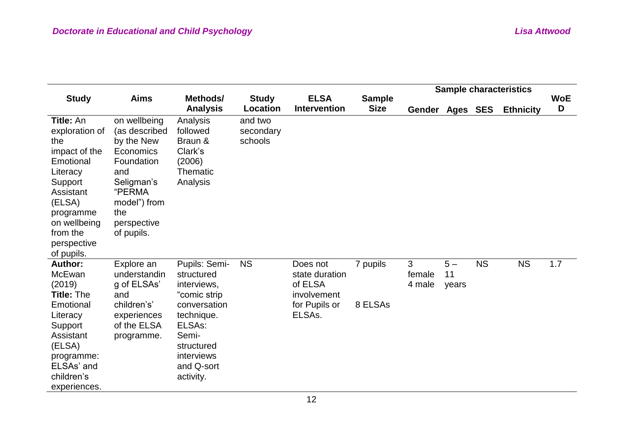|                                                        |                            |                                       |                          |                                    |                              |                 |       |           | <b>Sample characteristics</b> |                 |
|--------------------------------------------------------|----------------------------|---------------------------------------|--------------------------|------------------------------------|------------------------------|-----------------|-------|-----------|-------------------------------|-----------------|
| <b>Study</b>                                           | <b>Aims</b>                | Methods/<br><b>Analysis</b>           | <b>Study</b><br>Location | <b>ELSA</b><br><b>Intervention</b> | <b>Sample</b><br><b>Size</b> | Gender Ages SES |       |           | <b>Ethnicity</b>              | <b>WoE</b><br>D |
| Title: An                                              | on wellbeing               | Analysis                              | and two                  |                                    |                              |                 |       |           |                               |                 |
| exploration of                                         | (as described              | followed                              | secondary                |                                    |                              |                 |       |           |                               |                 |
| the                                                    | by the New                 | Braun &                               | schools                  |                                    |                              |                 |       |           |                               |                 |
| impact of the<br>Emotional                             | Economics<br>Foundation    | Clark's<br>(2006)                     |                          |                                    |                              |                 |       |           |                               |                 |
| Literacy                                               | and                        | Thematic                              |                          |                                    |                              |                 |       |           |                               |                 |
| Support                                                | Seligman's                 | Analysis                              |                          |                                    |                              |                 |       |           |                               |                 |
| Assistant                                              | "PERMA                     |                                       |                          |                                    |                              |                 |       |           |                               |                 |
| (ELSA)                                                 | model") from               |                                       |                          |                                    |                              |                 |       |           |                               |                 |
| programme                                              | the                        |                                       |                          |                                    |                              |                 |       |           |                               |                 |
| on wellbeing                                           | perspective                |                                       |                          |                                    |                              |                 |       |           |                               |                 |
| from the                                               | of pupils.                 |                                       |                          |                                    |                              |                 |       |           |                               |                 |
| perspective                                            |                            |                                       |                          |                                    |                              |                 |       |           |                               |                 |
| of pupils.                                             |                            |                                       |                          |                                    |                              |                 | $5-$  |           |                               |                 |
| <b>Author:</b><br>McEwan                               | Explore an<br>understandin | Pupils: Semi-<br>structured           | <b>NS</b>                | Does not<br>state duration         | 7 pupils                     | 3<br>female     | 11    | <b>NS</b> | <b>NS</b>                     | 1.7             |
| (2019)                                                 | g of ELSAs'                | interviews,                           |                          | of ELSA                            |                              | 4 male          | years |           |                               |                 |
| <b>Title: The</b>                                      | and                        | "comic strip                          |                          | involvement                        |                              |                 |       |           |                               |                 |
| Emotional                                              | children's'                | conversation                          |                          | for Pupils or                      | 8 ELSAs                      |                 |       |           |                               |                 |
| Literacy                                               | experiences                | technique.                            |                          | ELSA <sub>s</sub> .                |                              |                 |       |           |                               |                 |
| Support                                                | of the ELSA                | ELSAs:                                |                          |                                    |                              |                 |       |           |                               |                 |
| Assistant                                              | programme.                 | Semi-                                 |                          |                                    |                              |                 |       |           |                               |                 |
| (ELSA)                                                 |                            | structured                            |                          |                                    |                              |                 |       |           |                               |                 |
|                                                        |                            |                                       |                          |                                    |                              |                 |       |           |                               |                 |
|                                                        |                            |                                       |                          |                                    |                              |                 |       |           |                               |                 |
|                                                        |                            |                                       |                          |                                    |                              |                 |       |           |                               |                 |
| programme:<br>ELSAs' and<br>children's<br>experiences. |                            | interviews<br>and Q-sort<br>activity. |                          |                                    |                              |                 |       |           |                               |                 |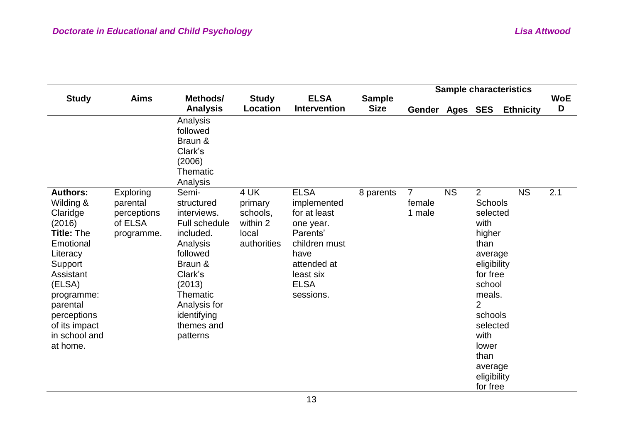|                                                                                                                                                                                                                           |                                                               |                                                                                                                                                                                               |                                                                 |                                                                                                                                                      |                              |                                    |           |                                                                                                                                                                                                                                          | <b>Sample characteristics</b> |                 |
|---------------------------------------------------------------------------------------------------------------------------------------------------------------------------------------------------------------------------|---------------------------------------------------------------|-----------------------------------------------------------------------------------------------------------------------------------------------------------------------------------------------|-----------------------------------------------------------------|------------------------------------------------------------------------------------------------------------------------------------------------------|------------------------------|------------------------------------|-----------|------------------------------------------------------------------------------------------------------------------------------------------------------------------------------------------------------------------------------------------|-------------------------------|-----------------|
| <b>Study</b>                                                                                                                                                                                                              | <b>Aims</b>                                                   | Methods/<br><b>Analysis</b>                                                                                                                                                                   | <b>Study</b><br><b>Location</b>                                 | <b>ELSA</b><br><b>Intervention</b>                                                                                                                   | <b>Sample</b><br><b>Size</b> | Gender Ages SES                    |           |                                                                                                                                                                                                                                          | <b>Ethnicity</b>              | <b>WoE</b><br>D |
|                                                                                                                                                                                                                           |                                                               | Analysis<br>followed<br>Braun &<br>Clark's<br>(2006)<br><b>Thematic</b><br>Analysis                                                                                                           |                                                                 |                                                                                                                                                      |                              |                                    |           |                                                                                                                                                                                                                                          |                               |                 |
| <b>Authors:</b><br>Wilding &<br>Claridge<br>(2016)<br><b>Title: The</b><br>Emotional<br>Literacy<br>Support<br>Assistant<br>(ELSA)<br>programme:<br>parental<br>perceptions<br>of its impact<br>in school and<br>at home. | Exploring<br>parental<br>perceptions<br>of ELSA<br>programme. | Semi-<br>structured<br>interviews.<br>Full schedule<br>included.<br>Analysis<br>followed<br>Braun &<br>Clark's<br>(2013)<br>Thematic<br>Analysis for<br>identifying<br>themes and<br>patterns | 4 UK<br>primary<br>schools,<br>within 2<br>local<br>authorities | <b>ELSA</b><br>implemented<br>for at least<br>one year.<br>Parents'<br>children must<br>have<br>attended at<br>least six<br><b>ELSA</b><br>sessions. | 8 parents                    | $\overline{7}$<br>female<br>1 male | <b>NS</b> | $\overline{2}$<br><b>Schools</b><br>selected<br>with<br>higher<br>than<br>average<br>eligibility<br>for free<br>school<br>meals.<br>$\overline{2}$<br>schools<br>selected<br>with<br>lower<br>than<br>average<br>eligibility<br>for free | <b>NS</b>                     | 2.1             |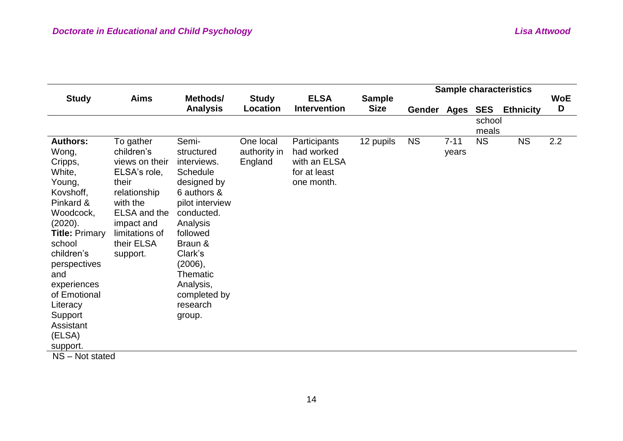| <b>Study</b>                                                                                                                                                                                                                                                               | <b>Aims</b>                                                                                                                                                              | Methods/                                                                                                                                                                                                                                     |                                      | <b>ELSA</b>                                                              |                              |             |                   |                 | <b>Sample characteristics</b> | <b>WoE</b> |
|----------------------------------------------------------------------------------------------------------------------------------------------------------------------------------------------------------------------------------------------------------------------------|--------------------------------------------------------------------------------------------------------------------------------------------------------------------------|----------------------------------------------------------------------------------------------------------------------------------------------------------------------------------------------------------------------------------------------|--------------------------------------|--------------------------------------------------------------------------|------------------------------|-------------|-------------------|-----------------|-------------------------------|------------|
|                                                                                                                                                                                                                                                                            |                                                                                                                                                                          | <b>Analysis</b>                                                                                                                                                                                                                              | <b>Study</b><br>Location             | <b>Intervention</b>                                                      | <b>Sample</b><br><b>Size</b> | Gender Ages |                   | <b>SES</b>      | <b>Ethnicity</b>              | D          |
|                                                                                                                                                                                                                                                                            |                                                                                                                                                                          |                                                                                                                                                                                                                                              |                                      |                                                                          |                              |             |                   | school<br>meals |                               |            |
| <b>Authors:</b><br>Wong,<br>Cripps,<br>White,<br>Young,<br>Kovshoff,<br>Pinkard &<br>Woodcock,<br>(2020).<br><b>Title: Primary</b><br>school<br>children's<br>perspectives<br>and<br>experiences<br>of Emotional<br>Literacy<br>Support<br>Assistant<br>(ELSA)<br>support. | To gather<br>children's<br>views on their<br>ELSA's role,<br>their<br>relationship<br>with the<br>ELSA and the<br>impact and<br>limitations of<br>their ELSA<br>support. | Semi-<br>structured<br>interviews.<br><b>Schedule</b><br>designed by<br>6 authors &<br>pilot interview<br>conducted.<br>Analysis<br>followed<br>Braun &<br>Clark's<br>(2006),<br>Thematic<br>Analysis,<br>completed by<br>research<br>group. | One local<br>authority in<br>England | Participants<br>had worked<br>with an ELSA<br>for at least<br>one month. | 12 pupils                    | <b>NS</b>   | $7 - 11$<br>years | <b>NS</b>       | <b>NS</b>                     | 2.2        |
| NS - Not stated                                                                                                                                                                                                                                                            |                                                                                                                                                                          |                                                                                                                                                                                                                                              |                                      |                                                                          |                              |             |                   |                 |                               |            |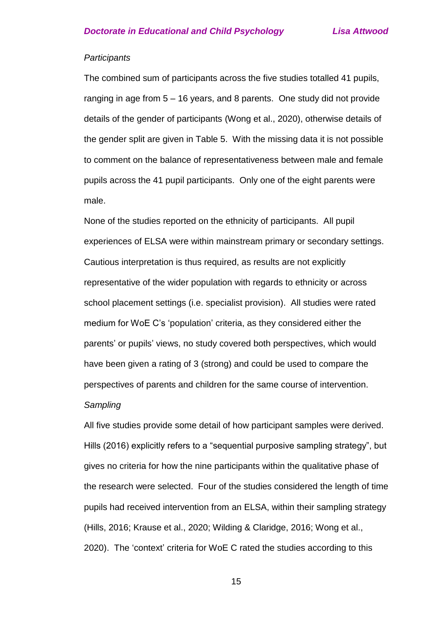#### *Participants*

The combined sum of participants across the five studies totalled 41 pupils, ranging in age from 5 – 16 years, and 8 parents. One study did not provide details of the gender of participants (Wong et al., 2020), otherwise details of the gender split are given in Table 5. With the missing data it is not possible to comment on the balance of representativeness between male and female pupils across the 41 pupil participants. Only one of the eight parents were male.

None of the studies reported on the ethnicity of participants. All pupil experiences of ELSA were within mainstream primary or secondary settings. Cautious interpretation is thus required, as results are not explicitly representative of the wider population with regards to ethnicity or across school placement settings (i.e. specialist provision). All studies were rated medium for WoE C's 'population' criteria, as they considered either the parents' or pupils' views, no study covered both perspectives, which would have been given a rating of 3 (strong) and could be used to compare the perspectives of parents and children for the same course of intervention.

### *Sampling*

All five studies provide some detail of how participant samples were derived. Hills (2016) explicitly refers to a "sequential purposive sampling strategy", but gives no criteria for how the nine participants within the qualitative phase of the research were selected. Four of the studies considered the length of time pupils had received intervention from an ELSA, within their sampling strategy (Hills, 2016; Krause et al., 2020; Wilding & Claridge, 2016; Wong et al., 2020). The 'context' criteria for WoE C rated the studies according to this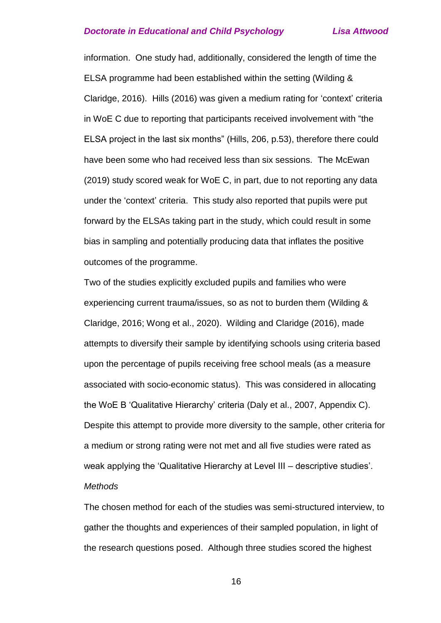information. One study had, additionally, considered the length of time the ELSA programme had been established within the setting (Wilding & Claridge, 2016). Hills (2016) was given a medium rating for 'context' criteria in WoE C due to reporting that participants received involvement with "the ELSA project in the last six months" (Hills, 206, p.53), therefore there could have been some who had received less than six sessions. The McEwan (2019) study scored weak for WoE C, in part, due to not reporting any data under the 'context' criteria. This study also reported that pupils were put forward by the ELSAs taking part in the study, which could result in some bias in sampling and potentially producing data that inflates the positive outcomes of the programme.

Two of the studies explicitly excluded pupils and families who were experiencing current trauma/issues, so as not to burden them (Wilding & Claridge, 2016; Wong et al., 2020). Wilding and Claridge (2016), made attempts to diversify their sample by identifying schools using criteria based upon the percentage of pupils receiving free school meals (as a measure associated with socio-economic status). This was considered in allocating the WoE B 'Qualitative Hierarchy' criteria (Daly et al., 2007, Appendix C). Despite this attempt to provide more diversity to the sample, other criteria for a medium or strong rating were not met and all five studies were rated as weak applying the 'Qualitative Hierarchy at Level III – descriptive studies'. *Methods*

The chosen method for each of the studies was semi-structured interview, to gather the thoughts and experiences of their sampled population, in light of the research questions posed. Although three studies scored the highest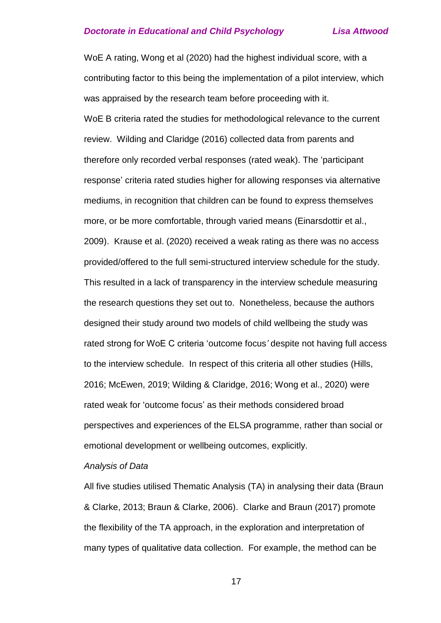WoE A rating, Wong et al (2020) had the highest individual score, with a contributing factor to this being the implementation of a pilot interview, which was appraised by the research team before proceeding with it. WoE B criteria rated the studies for methodological relevance to the current review. Wilding and Claridge (2016) collected data from parents and therefore only recorded verbal responses (rated weak). The 'participant response' criteria rated studies higher for allowing responses via alternative mediums, in recognition that children can be found to express themselves more, or be more comfortable, through varied means (Einarsdottir et al., 2009). Krause et al. (2020) received a weak rating as there was no access provided/offered to the full semi-structured interview schedule for the study. This resulted in a lack of transparency in the interview schedule measuring the research questions they set out to. Nonetheless, because the authors designed their study around two models of child wellbeing the study was rated strong for WoE C criteria 'outcome focus*'* despite not having full access to the interview schedule. In respect of this criteria all other studies (Hills, 2016; McEwen, 2019; Wilding & Claridge, 2016; Wong et al., 2020) were rated weak for 'outcome focus' as their methods considered broad perspectives and experiences of the ELSA programme, rather than social or emotional development or wellbeing outcomes, explicitly.

#### *Analysis of Data*

All five studies utilised Thematic Analysis (TA) in analysing their data (Braun & Clarke, 2013; Braun & Clarke, 2006). Clarke and Braun (2017) promote the flexibility of the TA approach, in the exploration and interpretation of many types of qualitative data collection. For example, the method can be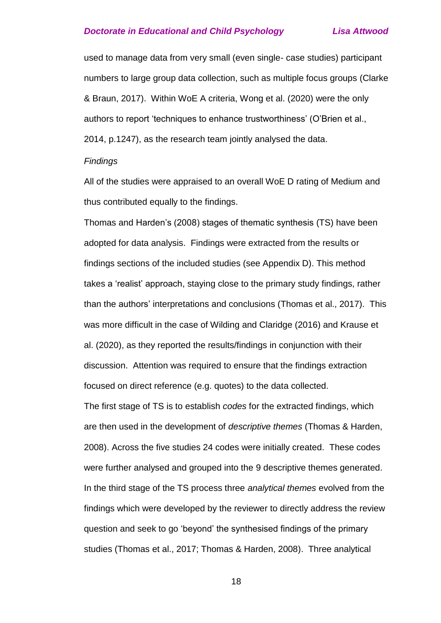used to manage data from very small (even single- case studies) participant numbers to large group data collection, such as multiple focus groups (Clarke & Braun, 2017). Within WoE A criteria, Wong et al. (2020) were the only authors to report 'techniques to enhance trustworthiness' (O'Brien et al., 2014, p.1247), as the research team jointly analysed the data.

#### *Findings*

All of the studies were appraised to an overall WoE D rating of Medium and thus contributed equally to the findings.

Thomas and Harden's (2008) stages of thematic synthesis (TS) have been adopted for data analysis. Findings were extracted from the results or findings sections of the included studies (see Appendix D). This method takes a 'realist' approach, staying close to the primary study findings, rather than the authors' interpretations and conclusions (Thomas et al., 2017). This was more difficult in the case of Wilding and Claridge (2016) and Krause et al. (2020), as they reported the results/findings in conjunction with their discussion. Attention was required to ensure that the findings extraction focused on direct reference (e.g. quotes) to the data collected.

The first stage of TS is to establish *codes* for the extracted findings, which are then used in the development of *descriptive themes* (Thomas & Harden, 2008). Across the five studies 24 codes were initially created. These codes were further analysed and grouped into the 9 descriptive themes generated. In the third stage of the TS process three *analytical themes* evolved from the findings which were developed by the reviewer to directly address the review question and seek to go 'beyond' the synthesised findings of the primary studies (Thomas et al., 2017; Thomas & Harden, 2008). Three analytical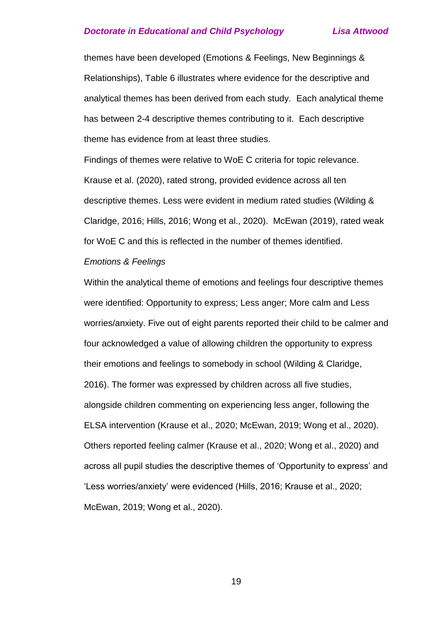themes have been developed (Emotions & Feelings, New Beginnings & Relationships), Table 6 illustrates where evidence for the descriptive and analytical themes has been derived from each study. Each analytical theme has between 2-4 descriptive themes contributing to it. Each descriptive theme has evidence from at least three studies.

Findings of themes were relative to WoE C criteria for topic relevance. Krause et al. (2020), rated strong, provided evidence across all ten descriptive themes. Less were evident in medium rated studies (Wilding & Claridge, 2016; Hills, 2016; Wong et al., 2020). McEwan (2019), rated weak for WoE C and this is reflected in the number of themes identified.

#### *Emotions & Feelings*

Within the analytical theme of emotions and feelings four descriptive themes were identified: Opportunity to express; Less anger; More calm and Less worries/anxiety. Five out of eight parents reported their child to be calmer and four acknowledged a value of allowing children the opportunity to express their emotions and feelings to somebody in school (Wilding & Claridge, 2016). The former was expressed by children across all five studies, alongside children commenting on experiencing less anger, following the ELSA intervention (Krause et al., 2020; McEwan, 2019; Wong et al., 2020). Others reported feeling calmer (Krause et al., 2020; Wong et al., 2020) and across all pupil studies the descriptive themes of 'Opportunity to express' and 'Less worries/anxiety' were evidenced (Hills, 2016; Krause et al., 2020; McEwan, 2019; Wong et al., 2020).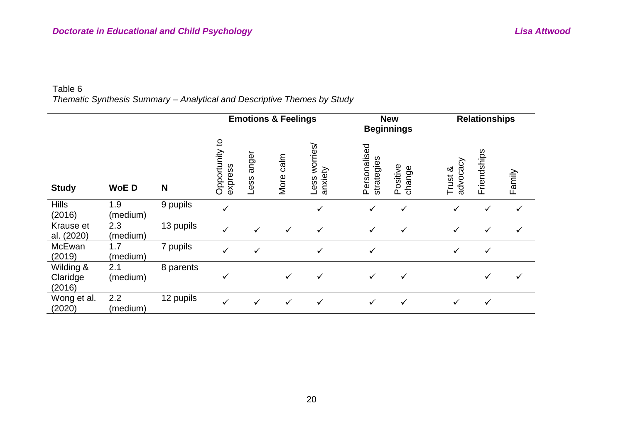### Table 6 *Thematic Synthesis Summary – Analytical and Descriptive Themes by Study*

|                                 |                 |           |                                          |               | <b>Emotions &amp; Feelings</b> |                             |                            | <b>New</b><br><b>Beginnings</b> |                     | <b>Relationships</b> |              |
|---------------------------------|-----------------|-----------|------------------------------------------|---------------|--------------------------------|-----------------------------|----------------------------|---------------------------------|---------------------|----------------------|--------------|
| <b>Study</b>                    | <b>WoED</b>     | N         | $\overline{c}$<br>Opportunity<br>express | anger<br>Less | calm<br>More                   | worries/<br>anxiety<br>Less | Personalised<br>strategies | Positive<br>change              | advocacy<br>Trust & | Friendships          | Family       |
| <b>Hills</b><br>(2016)          | 1.9<br>(medium) | 9 pupils  | ✓                                        |               |                                | ✓                           | $\checkmark$               | ✓                               | $\checkmark$        | $\checkmark$         | $\checkmark$ |
| Krause et<br>al. (2020)         | 2.3<br>(medium) | 13 pupils | $\checkmark$                             | $\checkmark$  | ✓                              | $\checkmark$                | $\checkmark$               | $\checkmark$                    | $\checkmark$        | ✓                    | $\checkmark$ |
| McEwan<br>(2019)                | 1.7<br>(medium) | 7 pupils  | $\checkmark$                             | $\checkmark$  |                                | ✓                           | $\checkmark$               |                                 |                     | ✓                    |              |
| Wilding &<br>Claridge<br>(2016) | 2.1<br>(medium) | 8 parents | ✓                                        |               | ✓                              | $\checkmark$                | $\checkmark$               | $\checkmark$                    |                     | ✓                    | $\checkmark$ |
| Wong et al.<br>(2020)           | 2.2<br>(medium) | 12 pupils | ✓                                        | $\checkmark$  | $\checkmark$                   | $\checkmark$                | $\checkmark$               | ✓                               | $\checkmark$        | $\checkmark$         |              |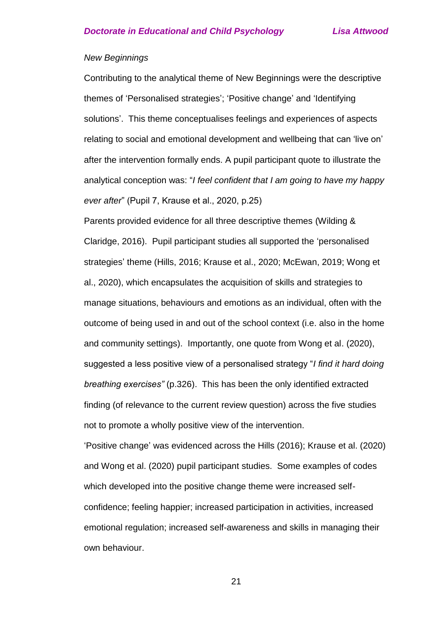#### *New Beginnings*

Contributing to the analytical theme of New Beginnings were the descriptive themes of 'Personalised strategies'; 'Positive change' and 'Identifying solutions'. This theme conceptualises feelings and experiences of aspects relating to social and emotional development and wellbeing that can 'live on' after the intervention formally ends. A pupil participant quote to illustrate the analytical conception was: "*I feel confident that I am going to have my happy ever after*" (Pupil 7, Krause et al., 2020, p.25)

Parents provided evidence for all three descriptive themes (Wilding & Claridge, 2016). Pupil participant studies all supported the 'personalised strategies' theme (Hills, 2016; Krause et al., 2020; McEwan, 2019; Wong et al., 2020), which encapsulates the acquisition of skills and strategies to manage situations, behaviours and emotions as an individual, often with the outcome of being used in and out of the school context (i.e. also in the home and community settings). Importantly, one quote from Wong et al. (2020), suggested a less positive view of a personalised strategy "*I find it hard doing breathing exercises"* (p.326). This has been the only identified extracted finding (of relevance to the current review question) across the five studies not to promote a wholly positive view of the intervention.

'Positive change' was evidenced across the Hills (2016); Krause et al. (2020) and Wong et al. (2020) pupil participant studies. Some examples of codes which developed into the positive change theme were increased selfconfidence; feeling happier; increased participation in activities, increased emotional regulation; increased self-awareness and skills in managing their own behaviour.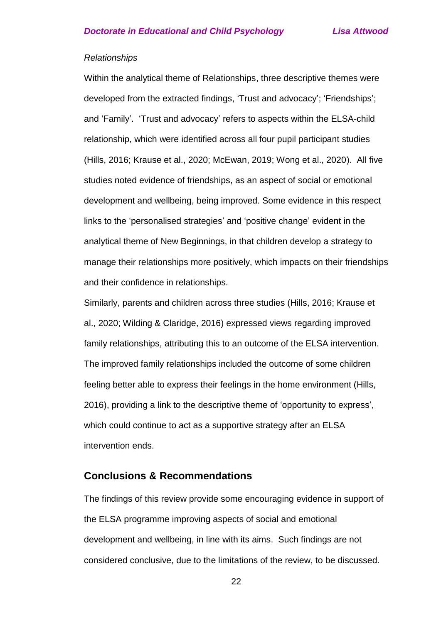#### *Relationships*

Within the analytical theme of Relationships, three descriptive themes were developed from the extracted findings, 'Trust and advocacy'; 'Friendships'; and 'Family'. 'Trust and advocacy' refers to aspects within the ELSA-child relationship, which were identified across all four pupil participant studies (Hills, 2016; Krause et al., 2020; McEwan, 2019; Wong et al., 2020). All five studies noted evidence of friendships, as an aspect of social or emotional development and wellbeing, being improved. Some evidence in this respect links to the 'personalised strategies' and 'positive change' evident in the analytical theme of New Beginnings, in that children develop a strategy to manage their relationships more positively, which impacts on their friendships and their confidence in relationships.

Similarly, parents and children across three studies (Hills, 2016; Krause et al., 2020; Wilding & Claridge, 2016) expressed views regarding improved family relationships, attributing this to an outcome of the ELSA intervention. The improved family relationships included the outcome of some children feeling better able to express their feelings in the home environment (Hills, 2016), providing a link to the descriptive theme of 'opportunity to express', which could continue to act as a supportive strategy after an ELSA intervention ends.

#### **Conclusions & Recommendations**

The findings of this review provide some encouraging evidence in support of the ELSA programme improving aspects of social and emotional development and wellbeing, in line with its aims. Such findings are not considered conclusive, due to the limitations of the review, to be discussed.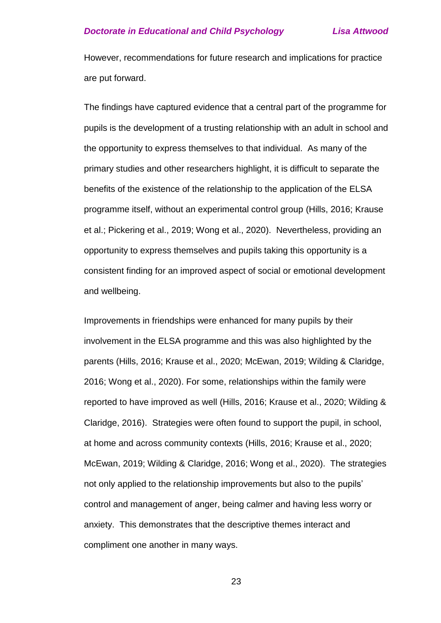However, recommendations for future research and implications for practice are put forward.

The findings have captured evidence that a central part of the programme for pupils is the development of a trusting relationship with an adult in school and the opportunity to express themselves to that individual. As many of the primary studies and other researchers highlight, it is difficult to separate the benefits of the existence of the relationship to the application of the ELSA programme itself, without an experimental control group (Hills, 2016; Krause et al.; Pickering et al., 2019; Wong et al., 2020). Nevertheless, providing an opportunity to express themselves and pupils taking this opportunity is a consistent finding for an improved aspect of social or emotional development and wellbeing.

Improvements in friendships were enhanced for many pupils by their involvement in the ELSA programme and this was also highlighted by the parents (Hills, 2016; Krause et al., 2020; McEwan, 2019; Wilding & Claridge, 2016; Wong et al., 2020). For some, relationships within the family were reported to have improved as well (Hills, 2016; Krause et al., 2020; Wilding & Claridge, 2016). Strategies were often found to support the pupil, in school, at home and across community contexts (Hills, 2016; Krause et al., 2020; McEwan, 2019; Wilding & Claridge, 2016; Wong et al., 2020). The strategies not only applied to the relationship improvements but also to the pupils' control and management of anger, being calmer and having less worry or anxiety. This demonstrates that the descriptive themes interact and compliment one another in many ways.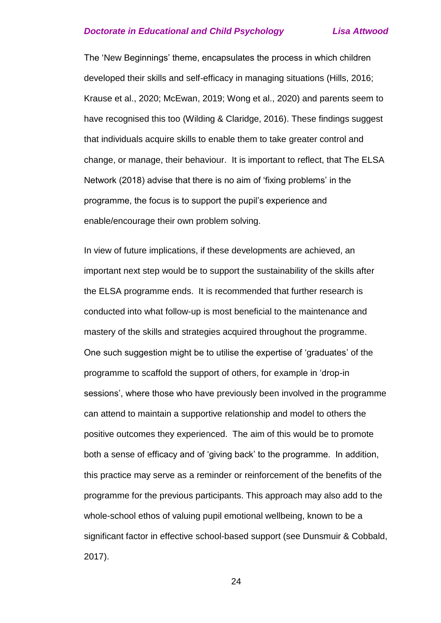The 'New Beginnings' theme, encapsulates the process in which children developed their skills and self-efficacy in managing situations (Hills, 2016; Krause et al., 2020; McEwan, 2019; Wong et al., 2020) and parents seem to have recognised this too (Wilding & Claridge, 2016). These findings suggest that individuals acquire skills to enable them to take greater control and change, or manage, their behaviour. It is important to reflect, that The ELSA Network (2018) advise that there is no aim of 'fixing problems' in the programme, the focus is to support the pupil's experience and enable/encourage their own problem solving.

In view of future implications, if these developments are achieved, an important next step would be to support the sustainability of the skills after the ELSA programme ends. It is recommended that further research is conducted into what follow-up is most beneficial to the maintenance and mastery of the skills and strategies acquired throughout the programme. One such suggestion might be to utilise the expertise of 'graduates' of the programme to scaffold the support of others, for example in 'drop-in sessions', where those who have previously been involved in the programme can attend to maintain a supportive relationship and model to others the positive outcomes they experienced. The aim of this would be to promote both a sense of efficacy and of 'giving back' to the programme. In addition, this practice may serve as a reminder or reinforcement of the benefits of the programme for the previous participants. This approach may also add to the whole-school ethos of valuing pupil emotional wellbeing, known to be a significant factor in effective school-based support (see Dunsmuir & Cobbald, 2017).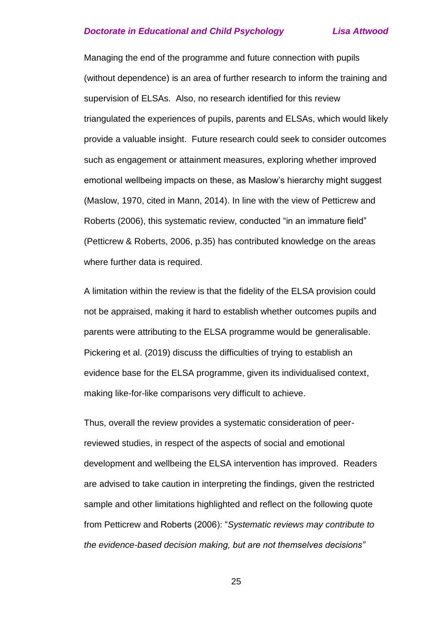Managing the end of the programme and future connection with pupils (without dependence) is an area of further research to inform the training and supervision of ELSAs. Also, no research identified for this review triangulated the experiences of pupils, parents and ELSAs, which would likely provide a valuable insight. Future research could seek to consider outcomes such as engagement or attainment measures, exploring whether improved emotional wellbeing impacts on these, as Maslow's hierarchy might suggest (Maslow, 1970, cited in Mann, 2014). In line with the view of Petticrew and Roberts (2006), this systematic review, conducted "in an immature field" (Petticrew & Roberts, 2006, p.35) has contributed knowledge on the areas where further data is required.

A limitation within the review is that the fidelity of the ELSA provision could not be appraised, making it hard to establish whether outcomes pupils and parents were attributing to the ELSA programme would be generalisable. Pickering et al. (2019) discuss the difficulties of trying to establish an evidence base for the ELSA programme, given its individualised context, making like-for-like comparisons very difficult to achieve.

Thus, overall the review provides a systematic consideration of peerreviewed studies, in respect of the aspects of social and emotional development and wellbeing the ELSA intervention has improved. Readers are advised to take caution in interpreting the findings, given the restricted sample and other limitations highlighted and reflect on the following quote from Petticrew and Roberts (2006): "*Systematic reviews may contribute to the evidence-based decision making, but are not themselves decisions"*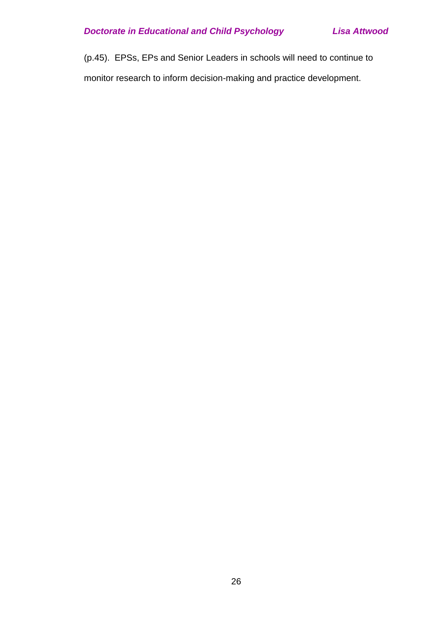(p.45). EPSs, EPs and Senior Leaders in schools will need to continue to monitor research to inform decision-making and practice development.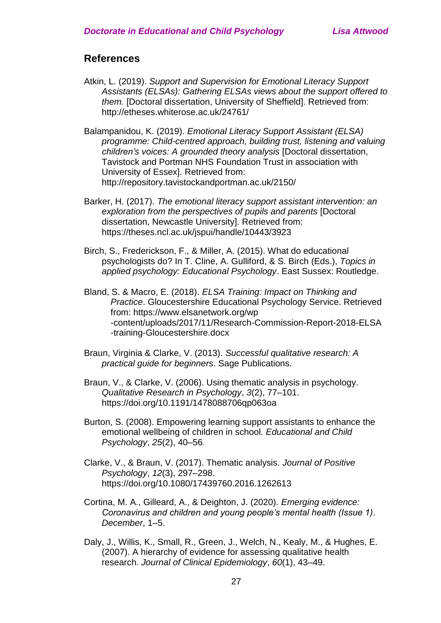### **References**

- Atkin, L. (2019). *Support and Supervision for Emotional Literacy Support Assistants (ELSAs): Gathering ELSAs views about the support offered to them.* [Doctoral dissertation, University of Sheffield]. Retrieved from: http://etheses.whiterose.ac.uk/24761/
- Balampanidou, K. (2019). *Emotional Literacy Support Assistant (ELSA) programme: Child-centred approach, building trust, listening and valuing children's voices: A grounded theory analysis* [Doctoral dissertation, Tavistock and Portman NHS Foundation Trust in association with University of Essex]. Retrieved from: http://repository.tavistockandportman.ac.uk/2150/
- Barker, H. (2017). *The emotional literacy support assistant intervention: an exploration from the perspectives of pupils and parents* [Doctoral dissertation, Newcastle University]. Retrieved from: https://theses.ncl.ac.uk/jspui/handle/10443/3923
- Birch, S., Frederickson, F., & Miller, A. (2015). What do educational psychologists do? In T. Cline, A. Gulliford, & S. Birch (Eds.), *Topics in applied psychology: Educational Psychology*. East Sussex: Routledge.
- Bland, S. & Macro, E. (2018). *ELSA Training: Impact on Thinking and Practice*. Gloucestershire Educational Psychology Service. Retrieved from: https://www.elsanetwork.org/wp -content/uploads/2017/11/Research-Commission-Report-2018-ELSA -training-Gloucestershire.docx
- Braun, Virginia & Clarke, V. (2013). *Successful qualitative research: A practical guide for beginners*. Sage Publications.
- Braun, V., & Clarke, V. (2006). Using thematic analysis in psychology. *Qualitative Research in Psychology*, *3*(2), 77–101. https://doi.org/10.1191/1478088706qp063oa
- Burton, S. (2008). Empowering learning support assistants to enhance the emotional wellbeing of children in school. *Educational and Child Psychology*, *25*(2), 40–56.
- Clarke, V., & Braun, V. (2017). Thematic analysis. *Journal of Positive Psychology*, *12*(3), 297–298. https://doi.org/10.1080/17439760.2016.1262613
- Cortina, M. A., Gilleard, A., & Deighton, J. (2020). *Emerging evidence: Coronavirus and children and young people's mental health (Issue 1)*. *December*, 1–5.
- Daly, J., Willis, K., Small, R., Green, J., Welch, N., Kealy, M., & Hughes, E. (2007). A hierarchy of evidence for assessing qualitative health research. *Journal of Clinical Epidemiology*, *60*(1), 43–49.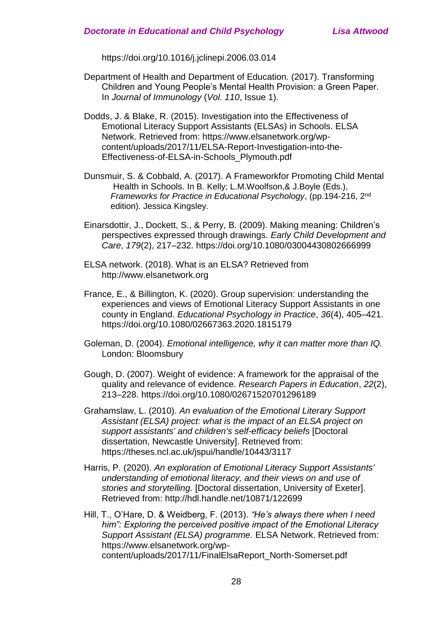https://doi.org/10.1016/j.jclinepi.2006.03.014

- Department of Health and Department of Education. (2017). Transforming Children and Young People's Mental Health Provision: a Green Paper. In *Journal of Immunology* (*Vol. 110*, Issue 1).
- Dodds, J. & Blake, R. (2015). Investigation into the Effectiveness of Emotional Literacy Support Assistants (ELSAs) in Schools. ELSA Network. Retrieved from: https://www.elsanetwork.org/wpcontent/uploads/2017/11/ELSA-Report-Investigation-into-the-Effectiveness-of-ELSA-in-Schools\_Plymouth.pdf
- Dunsmuir, S. & Cobbald, A. (2017). A Frameworkfor Promoting Child Mental Health in Schools. In B. Kelly; L.M.Woolfson,& J.Boyle (Eds.), *Frameworks for Practice in Educational Psychology*, (pp.194-216, 2nd edition). Jessica Kingsley.
- Einarsdottir, J., Dockett, S., & Perry, B. (2009). Making meaning: Children's perspectives expressed through drawings. *Early Child Development and Care*, *179*(2), 217–232. https://doi.org/10.1080/03004430802666999
- ELSA network. (2018). What is an ELSA? Retrieved from http://www.elsanetwork.org
- France, E., & Billington, K. (2020). Group supervision: understanding the experiences and views of Emotional Literacy Support Assistants in one county in England. *Educational Psychology in Practice*, *36*(4), 405–421. https://doi.org/10.1080/02667363.2020.1815179
- Goleman, D. (2004). *Emotional intelligence, why it can matter more than IQ.* London: Bloomsbury
- Gough, D. (2007). Weight of evidence: A framework for the appraisal of the quality and relevance of evidence. *Research Papers in Education*, *22*(2), 213–228. https://doi.org/10.1080/02671520701296189
- Grahamslaw, L. (2010). *An evaluation of the Emotional Literary Support Assistant (ELSA) project: what is the impact of an ELSA project on support assistants' and children's self-efficacy beliefs* [Doctoral dissertation, Newcastle University]. Retrieved from: https://theses.ncl.ac.uk/jspui/handle/10443/3117
- Harris, P. (2020). *An exploration of Emotional Literacy Support Assistants' understanding of emotional literacy, and their views on and use of stories and storytelling.* [Doctoral dissertation, University of Exeter]. Retrieved from: http://hdl.handle.net/10871/122699
- Hill, T., O'Hare, D. & Weidberg, F. (2013). *"He's always there when I need him": Exploring the perceived positive impact of the Emotional Literacy Support Assistant (ELSA) programme.* ELSA Network. Retrieved from: https://www.elsanetwork.org/wpcontent/uploads/2017/11/FinalElsaReport\_North-Somerset.pdf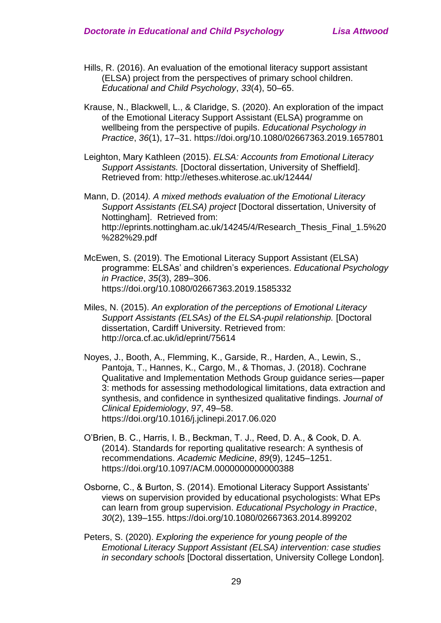- Hills, R. (2016). An evaluation of the emotional literacy support assistant (ELSA) project from the perspectives of primary school children. *Educational and Child Psychology*, *33*(4), 50–65.
- Krause, N., Blackwell, L., & Claridge, S. (2020). An exploration of the impact of the Emotional Literacy Support Assistant (ELSA) programme on wellbeing from the perspective of pupils. *Educational Psychology in Practice*, *36*(1), 17–31. https://doi.org/10.1080/02667363.2019.1657801
- Leighton, Mary Kathleen (2015). *ELSA: Accounts from Emotional Literacy Support Assistants.* [Doctoral dissertation, University of Sheffield]. Retrieved from: http://etheses.whiterose.ac.uk/12444/

Mann, D. (2014*). A mixed methods evaluation of the Emotional Literacy Support Assistants (ELSA) project* [Doctoral dissertation, University of Nottingham]. Retrieved from: http://eprints.nottingham.ac.uk/14245/4/Research\_Thesis\_Final\_1.5%20 %282%29.pdf

- McEwen, S. (2019). The Emotional Literacy Support Assistant (ELSA) programme: ELSAs' and children's experiences. *Educational Psychology in Practice*, *35*(3), 289–306. https://doi.org/10.1080/02667363.2019.1585332
- Miles, N. (2015). *An exploration of the perceptions of Emotional Literacy Support Assistants (ELSAs) of the ELSA-pupil relationship.* [Doctoral dissertation, Cardiff University. Retrieved from: http://orca.cf.ac.uk/id/eprint/75614
- Noyes, J., Booth, A., Flemming, K., Garside, R., Harden, A., Lewin, S., Pantoja, T., Hannes, K., Cargo, M., & Thomas, J. (2018). Cochrane Qualitative and Implementation Methods Group guidance series—paper 3: methods for assessing methodological limitations, data extraction and synthesis, and confidence in synthesized qualitative findings. *Journal of Clinical Epidemiology*, *97*, 49–58. https://doi.org/10.1016/j.jclinepi.2017.06.020
- O'Brien, B. C., Harris, I. B., Beckman, T. J., Reed, D. A., & Cook, D. A. (2014). Standards for reporting qualitative research: A synthesis of recommendations. *Academic Medicine*, *89*(9), 1245–1251. https://doi.org/10.1097/ACM.0000000000000388
- Osborne, C., & Burton, S. (2014). Emotional Literacy Support Assistants' views on supervision provided by educational psychologists: What EPs can learn from group supervision. *Educational Psychology in Practice*, *30*(2), 139–155. https://doi.org/10.1080/02667363.2014.899202
- Peters, S. (2020). *Exploring the experience for young people of the Emotional Literacy Support Assistant (ELSA) intervention: case studies in secondary schools* [Doctoral dissertation, University College London].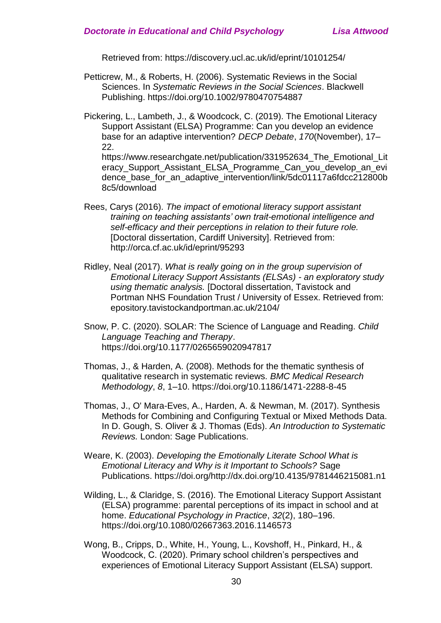Retrieved from: https://discovery.ucl.ac.uk/id/eprint/10101254/

Petticrew, M., & Roberts, H. (2006). Systematic Reviews in the Social Sciences. In *Systematic Reviews in the Social Sciences*. Blackwell Publishing. https://doi.org/10.1002/9780470754887

Pickering, L., Lambeth, J., & Woodcock, C. (2019). The Emotional Literacy Support Assistant (ELSA) Programme: Can you develop an evidence base for an adaptive intervention? *DECP Debate*, *170*(November), 17– 22.

https://www.researchgate.net/publication/331952634 The Emotional Lit eracy Support Assistant ELSA Programme Can you develop an evi dence base for an adaptive intervention/link/5dc01117a6fdcc212800b 8c5/download

- Rees, Carys (2016). *The impact of emotional literacy support assistant training on teaching assistants' own trait-emotional intelligence and self-efficacy and their perceptions in relation to their future role.* [Doctoral dissertation, Cardiff University]. Retrieved from: http://orca.cf.ac.uk/id/eprint/95293
- Ridley, Neal (2017). *What is really going on in the group supervision of Emotional Literacy Support Assistants (ELSAs) - an exploratory study using thematic analysis.* [Doctoral dissertation, Tavistock and Portman NHS Foundation Trust / University of Essex. Retrieved from: epository.tavistockandportman.ac.uk/2104/

Snow, P. C. (2020). SOLAR: The Science of Language and Reading. *Child Language Teaching and Therapy*. https://doi.org/10.1177/0265659020947817

- Thomas, J., & Harden, A. (2008). Methods for the thematic synthesis of qualitative research in systematic reviews. *BMC Medical Research Methodology*, *8*, 1–10. https://doi.org/10.1186/1471-2288-8-45
- Thomas, J., O' Mara-Eves, A., Harden, A. & Newman, M. (2017). Synthesis Methods for Combining and Configuring Textual or Mixed Methods Data. In D. Gough, S. Oliver & J. Thomas (Eds). *An Introduction to Systematic Reviews.* London: Sage Publications.
- Weare, K. (2003). *Developing the Emotionally Literate School What is Emotional Literacy and Why is it Important to Schools?* Sage Publications. https://doi.org/http://dx.doi.org/10.4135/9781446215081.n1
- Wilding, L., & Claridge, S. (2016). The Emotional Literacy Support Assistant (ELSA) programme: parental perceptions of its impact in school and at home. *Educational Psychology in Practice*, *32*(2), 180–196. https://doi.org/10.1080/02667363.2016.1146573
- Wong, B., Cripps, D., White, H., Young, L., Kovshoff, H., Pinkard, H., & Woodcock, C. (2020). Primary school children's perspectives and experiences of Emotional Literacy Support Assistant (ELSA) support.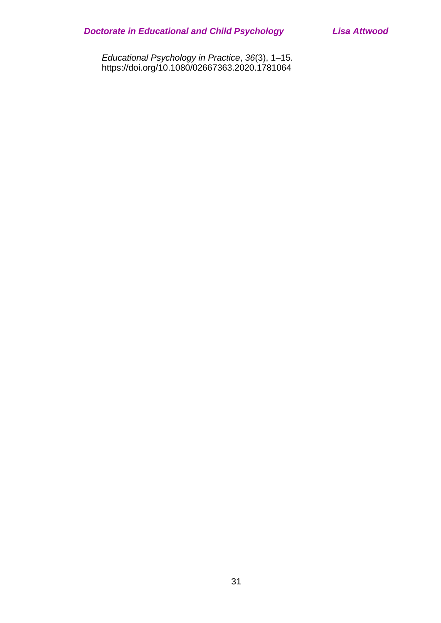*Educational Psychology in Practice*, *36*(3), 1–15. https://doi.org/10.1080/02667363.2020.1781064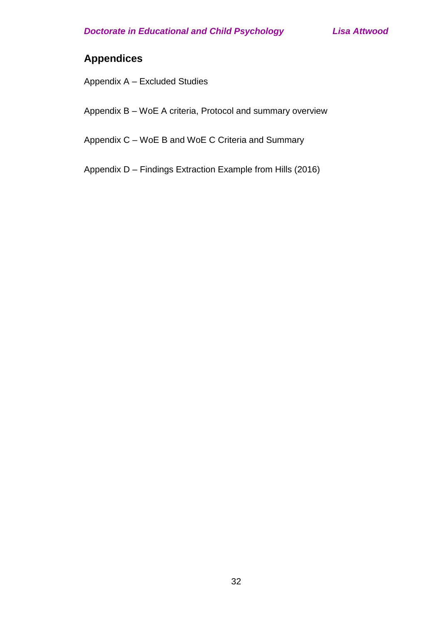## **Appendices**

Appendix A – Excluded Studies

Appendix B – WoE A criteria, Protocol and summary overview

Appendix C – WoE B and WoE C Criteria and Summary

Appendix D – Findings Extraction Example from Hills (2016)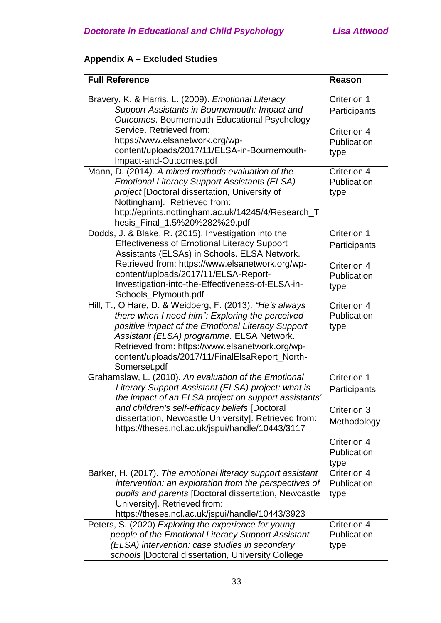## **Appendix A – Excluded Studies**

| <b>Full Reference</b>                                                                         | <b>Reason</b>       |
|-----------------------------------------------------------------------------------------------|---------------------|
| Bravery, K. & Harris, L. (2009). Emotional Literacy                                           | Criterion 1         |
| Support Assistants in Bournemouth: Impact and<br>Outcomes. Bournemouth Educational Psychology | Participants        |
| Service. Retrieved from:                                                                      | Criterion 4         |
| https://www.elsanetwork.org/wp-                                                               | Publication         |
| content/uploads/2017/11/ELSA-in-Bournemouth-                                                  | type                |
| Impact-and-Outcomes.pdf                                                                       |                     |
| Mann, D. (2014). A mixed methods evaluation of the                                            | Criterion 4         |
| <b>Emotional Literacy Support Assistants (ELSA)</b>                                           | Publication         |
| project [Doctoral dissertation, University of                                                 | type                |
| Nottingham]. Retrieved from:                                                                  |                     |
| http://eprints.nottingham.ac.uk/14245/4/Research_T                                            |                     |
| hesis_Final_1.5%20%282%29.pdf                                                                 |                     |
| Dodds, J. & Blake, R. (2015). Investigation into the                                          | Criterion 1         |
| <b>Effectiveness of Emotional Literacy Support</b>                                            | Participants        |
| Assistants (ELSAs) in Schools. ELSA Network.                                                  |                     |
| Retrieved from: https://www.elsanetwork.org/wp-                                               | Criterion 4         |
| content/uploads/2017/11/ELSA-Report-                                                          | Publication         |
| Investigation-into-the-Effectiveness-of-ELSA-in-                                              | type                |
| Schools_Plymouth.pdf                                                                          |                     |
| Hill, T., O'Hare, D. & Weidberg, F. (2013). "He's always                                      | Criterion 4         |
| there when I need him": Exploring the perceived                                               | Publication         |
| positive impact of the Emotional Literacy Support                                             | type                |
| Assistant (ELSA) programme. ELSA Network.                                                     |                     |
| Retrieved from: https://www.elsanetwork.org/wp-                                               |                     |
| content/uploads/2017/11/FinalElsaReport_North-                                                |                     |
| Somerset.pdf<br>Grahamslaw, L. (2010). An evaluation of the Emotional                         | Criterion 1         |
| Literary Support Assistant (ELSA) project: what is                                            |                     |
| the impact of an ELSA project on support assistants'                                          | Participants        |
| and children's self-efficacy beliefs [Doctoral                                                |                     |
| dissertation, Newcastle University]. Retrieved from:                                          | <b>Criterion 3</b>  |
| https://theses.ncl.ac.uk/jspui/handle/10443/3117                                              | Methodology         |
|                                                                                               |                     |
|                                                                                               | Criterion 4         |
|                                                                                               | Publication         |
| Barker, H. (2017). The emotional literacy support assistant                                   | type<br>Criterion 4 |
| intervention: an exploration from the perspectives of                                         | Publication         |
| pupils and parents [Doctoral dissertation, Newcastle                                          |                     |
| University]. Retrieved from:                                                                  | type                |
| https://theses.ncl.ac.uk/jspui/handle/10443/3923                                              |                     |
| Peters, S. (2020) Exploring the experience for young                                          | Criterion 4         |
| people of the Emotional Literacy Support Assistant                                            | Publication         |
| (ELSA) intervention: case studies in secondary                                                | type                |
| schools [Doctoral dissertation, University College                                            |                     |
|                                                                                               |                     |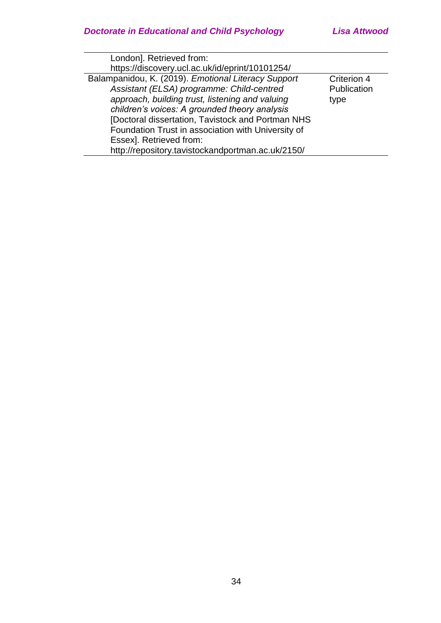| Criterion 4 |  |
|-------------|--|
| Publication |  |
| type        |  |
|             |  |
|             |  |
|             |  |
|             |  |
|             |  |
|             |  |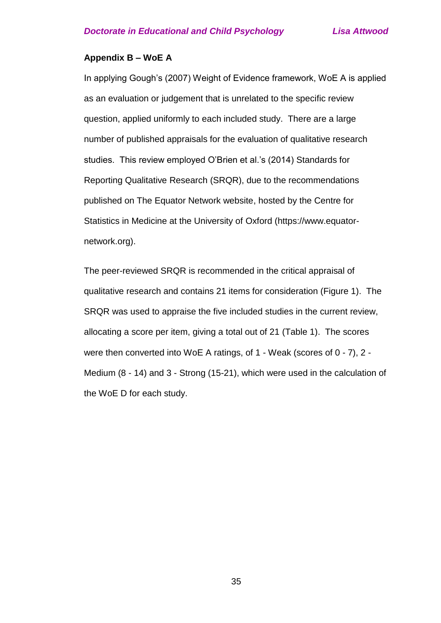#### **Appendix B – WoE A**

In applying Gough's (2007) Weight of Evidence framework, WoE A is applied as an evaluation or judgement that is unrelated to the specific review question, applied uniformly to each included study. There are a large number of published appraisals for the evaluation of qualitative research studies. This review employed O'Brien et al.'s (2014) Standards for Reporting Qualitative Research (SRQR), due to the recommendations published on The Equator Network website, hosted by the Centre for Statistics in Medicine at the University of Oxford (https://www.equatornetwork.org).

The peer-reviewed SRQR is recommended in the critical appraisal of qualitative research and contains 21 items for consideration (Figure 1). The SRQR was used to appraise the five included studies in the current review, allocating a score per item, giving a total out of 21 (Table 1). The scores were then converted into WoE A ratings, of 1 - Weak (scores of 0 - 7), 2 - Medium (8 - 14) and 3 - Strong (15-21), which were used in the calculation of the WoE D for each study.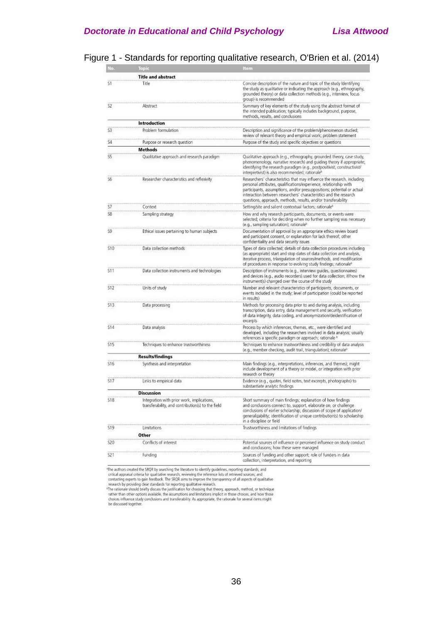| Vо.             | Topic                                                                                           | Item                                                                                                                                                                                                                                                                                                                                                         |
|-----------------|-------------------------------------------------------------------------------------------------|--------------------------------------------------------------------------------------------------------------------------------------------------------------------------------------------------------------------------------------------------------------------------------------------------------------------------------------------------------------|
|                 | <b>Title and abstract</b>                                                                       |                                                                                                                                                                                                                                                                                                                                                              |
| S1              | Title                                                                                           | Concise description of the nature and topic of the study Identifying<br>the study as qualitative or indicating the approach (e.g., ethnography,<br>grounded theory) or data collection methods (e.g., interview, focus<br>group) is recommended                                                                                                              |
| S2              | Abstract                                                                                        | Summary of key elements of the study using the abstract format of<br>the intended publication; typically includes background, purpose,<br>methods, results, and conclusions                                                                                                                                                                                  |
|                 | <b>Introduction</b>                                                                             |                                                                                                                                                                                                                                                                                                                                                              |
| S3              | Problem formulation                                                                             | Description and significance of the problem/phenomenon studied;<br>review of relevant theory and empirical work; problem statement                                                                                                                                                                                                                           |
| 54              | Purpose or research question                                                                    | Purpose of the study and specific objectives or questions                                                                                                                                                                                                                                                                                                    |
|                 | <b>Methods</b>                                                                                  |                                                                                                                                                                                                                                                                                                                                                              |
| SS <sup>T</sup> | Qualitative approach and research paradigm                                                      | Qualitative approach (e.g., ethnography, grounded theory, case study,<br>phenomenology, narrative research) and guiding theory if appropriate;<br>identifying the research paradigm (e.g., postpositivist, constructivist/<br>interpretivist) is also recommended; rationale <sup>b</sup>                                                                    |
| SБ              | Researcher characteristics and reflexivity                                                      | Researchers' characteristics that may influence the research, including<br>personal attributes, qualifications/experience, relationship with<br>participants, assumptions, and/or presuppositions; potential or actual<br>interaction between researchers' characteristics and the research<br>questions, approach, methods, results, and/or transferability |
| S7              | Context                                                                                         | Setting/site and salient contextual factors; rationale <sup>6</sup>                                                                                                                                                                                                                                                                                          |
| 58              | Sampling strategy                                                                               | How and why research participants, documents, or events were<br>selected; criteria for deciding when no further sampling was necessary<br>(e.g., sampling saturation); rationale <sup>b</sup>                                                                                                                                                                |
| S9              | Ethical issues pertaining to human subjects                                                     | Documentation of approval by an appropriate ethics review board<br>and participant consent, or explanation for lack thereof; other<br>confidentiality and data security issues                                                                                                                                                                               |
| 510             | Data collection methods                                                                         | Types of data collected; details of data collection procedures including<br>(as appropriate) start and stop dates of data collection and analysis,<br>iterative process, triangulation of sources/methods, and modification<br>of procedures in response to evolving study findings; rationale <sup>b</sup>                                                  |
| 511             | Data collection instruments and technologies                                                    | Description of instruments (e.g., interview guides, questionnaires)<br>and devices (e.g., audio recorders) used for data collection; if/how the<br>instrument(s) changed over the course of the study                                                                                                                                                        |
| <b>S12</b>      | Units of study                                                                                  | Number and relevant characteristics of participants, documents, or<br>events included in the study; level of participation (could be reported<br>in results)                                                                                                                                                                                                 |
| 513             | Data processing                                                                                 | Methods for processing data prior to and during analysis, including<br>transcription, data entry, data management and security, verification<br>of data integrity, data coding, and anonymization/deidentification of<br>excerpts                                                                                                                            |
| 514             | Data analysis                                                                                   | Process by which inferences, themes, etc., were identified and<br>developed, including the researchers involved in data analysis; usually<br>references a specific paradigm or approach; rationale b                                                                                                                                                         |
| <b>S15</b>      | Techniques to enhance trustworthiness                                                           | Techniques to enhance trustworthiness and credibility of data analysis<br>(e.g., member checking, audit trail, triangulation); rationale <sup>3</sup>                                                                                                                                                                                                        |
|                 | <b>Results/findings</b>                                                                         |                                                                                                                                                                                                                                                                                                                                                              |
| <b>S16</b>      | Synthesis and interpretation                                                                    | Main findings (e.g., interpretations, inferences, and themes); might<br>include development of a theory or model, or integration with prior<br>research or theory                                                                                                                                                                                            |
| S17             | Links to empirical data                                                                         | Evidence (e.g., quotes, field notes, text excerpts, photographs) to<br>substantiate analytic findings                                                                                                                                                                                                                                                        |
|                 | <b>Discussion</b>                                                                               |                                                                                                                                                                                                                                                                                                                                                              |
| \$18            | Integration with prior work, implications,<br>transferability, and contribution(s) to the field | Short summary of main findings; explanation of how findings<br>and condusions connect to, support, elaborate on, or challenge<br>conclusions of earlier scholarship; discussion of scope of application/<br>generalizability; identification of unique contribution(s) to scholarship<br>in a discipline or field                                            |
| \$19            | Limitations<br>Other                                                                            | Trustworthiness and limitations of findings                                                                                                                                                                                                                                                                                                                  |
| 520             | Conflicts of interest                                                                           | Potential sources of influence or perceived influence on study conduct<br>and condusions; how these were managed                                                                                                                                                                                                                                             |
| 521             | Funding                                                                                         | Sources of funding and other support; role of funders in data<br>collection, interpretation, and reporting                                                                                                                                                                                                                                                   |

### Figure 1 - Standards for reporting qualitative research, O'Brien et al. (2014)

<sup>a</sup>The authors created the SRQR by searching the literature to identify guidelines, reporting standards, and

<sup>4</sup>The authors created the SRQR by searching the literature to identify guidelines, reporting standards, and critical appraisal critical creation treated to qualitative research, reviewing the reference issts of retireved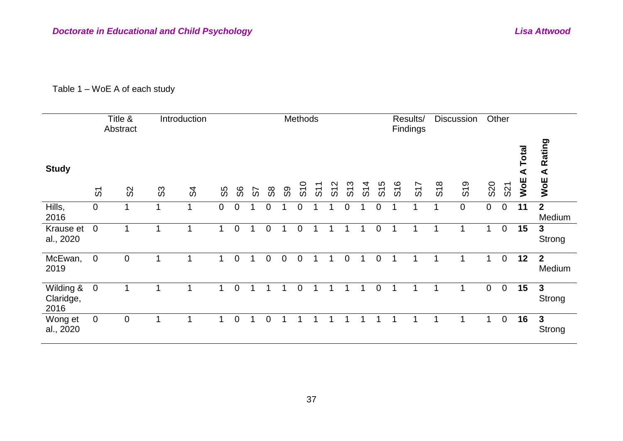### Table 1 – WoE A of each study

|                                |                     | Title &<br>Abstract |       | Introduction         |                |                |    |    |             | Methods |  |   |   | Results/<br>Findings |     | <b>Discussion</b> |             | Other       |                                      |                                       |
|--------------------------------|---------------------|---------------------|-------|----------------------|----------------|----------------|----|----|-------------|---------|--|---|---|----------------------|-----|-------------------|-------------|-------------|--------------------------------------|---------------------------------------|
| <b>Study</b>                   | $\overline{\omega}$ | $\Omega$            | $\Im$ | \$                   | SS             | တိ             | တ် | 88 | S9          | S10     |  |   |   | S <sub>17</sub>      | S18 | S <sub>19</sub>   | <b>S20</b>  | S21         | Total<br>$\blacktriangleleft$<br>WOE | Rating<br>$\blacktriangleleft$<br>WoE |
| Hills,<br>2016                 | $\mathbf 0$         |                     | 1     | $\blacktriangleleft$ | $\overline{0}$ | $\mathbf 0$    |    | 0  |             | 0       |  | 0 | 0 |                      |     | $\boldsymbol{0}$  | $\mathbf 0$ | 0           | 11                                   | $2^{\circ}$<br>Medium                 |
| Krause et<br>al., 2020         | $\overline{0}$      |                     |       |                      | 1              | $\mathbf 0$    |    | 0  | 1           | 0       |  |   | 0 |                      |     |                   | 1           | $\mathbf 0$ | 15                                   | $\mathbf{3}$<br>Strong                |
| McEwan,<br>2019                | $\mathbf 0$         | $\mathbf 0$         |       |                      | 1              | $\mathbf 0$    |    | 0  | $\mathbf 0$ | 0       |  | 0 | 0 |                      |     |                   | 1           | 0           | 12                                   | $2^{\circ}$<br>Medium                 |
| Wilding &<br>Claridge,<br>2016 | $\boldsymbol{0}$    |                     |       |                      |                | $\overline{0}$ |    |    |             | 0       |  |   | 0 |                      |     |                   | $\mathbf 0$ | $\mathbf 0$ | 15                                   | $\mathbf{3}$<br>Strong                |
| Wong et<br>al., 2020           | $\mathbf 0$         | $\mathbf 0$         |       |                      |                | 0              |    | 0  |             |         |  |   |   |                      |     |                   | 1           | $\mathbf 0$ | 16                                   | $\mathbf{3}$<br>Strong                |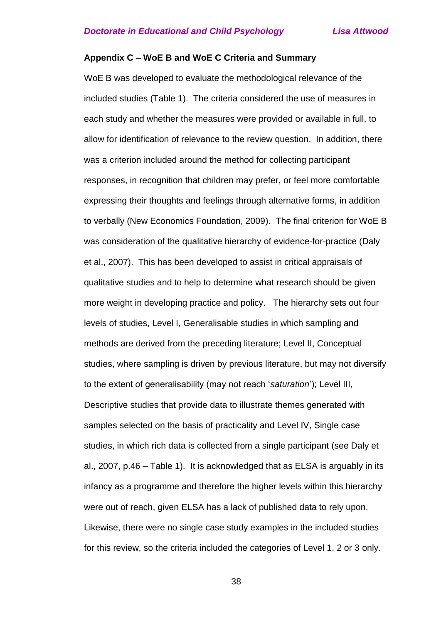#### **Appendix C – WoE B and WoE C Criteria and Summary**

WoE B was developed to evaluate the methodological relevance of the included studies (Table 1). The criteria considered the use of measures in each study and whether the measures were provided or available in full, to allow for identification of relevance to the review question. In addition, there was a criterion included around the method for collecting participant responses, in recognition that children may prefer, or feel more comfortable expressing their thoughts and feelings through alternative forms, in addition to verbally (New Economics Foundation, 2009). The final criterion for WoE B was consideration of the qualitative hierarchy of evidence-for-practice (Daly et al., 2007). This has been developed to assist in critical appraisals of qualitative studies and to help to determine what research should be given more weight in developing practice and policy. The hierarchy sets out four levels of studies, Level I, Generalisable studies in which sampling and methods are derived from the preceding literature; Level II, Conceptual studies, where sampling is driven by previous literature, but may not diversify to the extent of generalisability (may not reach '*saturation*'); Level III, Descriptive studies that provide data to illustrate themes generated with samples selected on the basis of practicality and Level IV, Single case studies, in which rich data is collected from a single participant (see Daly et al., 2007, p.46 – Table 1). It is acknowledged that as ELSA is arguably in its infancy as a programme and therefore the higher levels within this hierarchy were out of reach, given ELSA has a lack of published data to rely upon. Likewise, there were no single case study examples in the included studies for this review, so the criteria included the categories of Level 1, 2 or 3 only.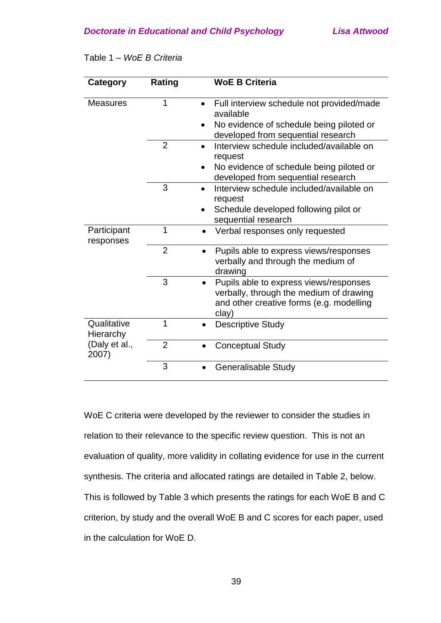| Category                 | Rating         | <b>WoE B Criteria</b>                                                                                                                               |
|--------------------------|----------------|-----------------------------------------------------------------------------------------------------------------------------------------------------|
| <b>Measures</b>          | 1              | Full interview schedule not provided/made<br>$\bullet$<br>available                                                                                 |
|                          |                | No evidence of schedule being piloted or<br>$\bullet$<br>developed from sequential research                                                         |
|                          | $\overline{2}$ | Interview schedule included/available on<br>request                                                                                                 |
|                          |                | No evidence of schedule being piloted or<br>developed from sequential research                                                                      |
|                          | 3              | Interview schedule included/available on<br>$\bullet$<br>request                                                                                    |
|                          |                | Schedule developed following pilot or<br>$\bullet$<br>sequential research                                                                           |
| Participant<br>responses | 1              | Verbal responses only requested<br>$\bullet$                                                                                                        |
|                          | $\overline{2}$ | Pupils able to express views/responses<br>$\bullet$<br>verbally and through the medium of<br>drawing                                                |
|                          | 3              | Pupils able to express views/responses<br>$\bullet$<br>verbally, through the medium of drawing<br>and other creative forms (e.g. modelling<br>clay) |
| Qualitative<br>Hierarchy | 1              | <b>Descriptive Study</b><br>$\bullet$                                                                                                               |
| (Daly et al.,<br>2007)   | $\overline{2}$ | <b>Conceptual Study</b>                                                                                                                             |
|                          | 3              | <b>Generalisable Study</b>                                                                                                                          |

Table 1 – *WoE B Criteria*

WoE C criteria were developed by the reviewer to consider the studies in relation to their relevance to the specific review question. This is not an evaluation of quality, more validity in collating evidence for use in the current synthesis. The criteria and allocated ratings are detailed in Table 2, below. This is followed by Table 3 which presents the ratings for each WoE B and C criterion, by study and the overall WoE B and C scores for each paper, used in the calculation for WoE D.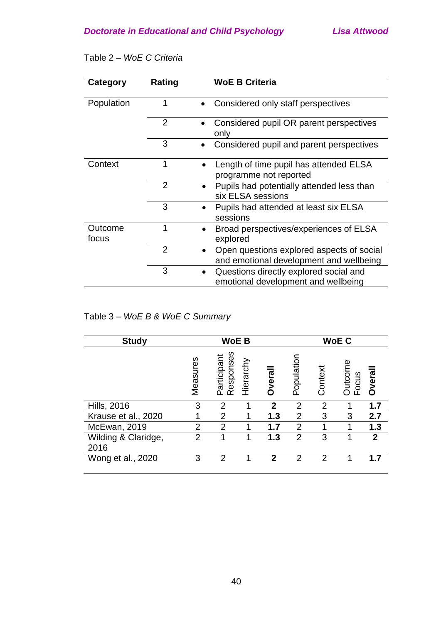| <b>Category</b>  | Rating         | <b>WoE B Criteria</b>                                                                |
|------------------|----------------|--------------------------------------------------------------------------------------|
| Population       |                | Considered only staff perspectives                                                   |
|                  | $\overline{2}$ | Considered pupil OR parent perspectives<br>only                                      |
|                  | 3              | Considered pupil and parent perspectives                                             |
| Context          | 1              | Length of time pupil has attended ELSA<br>programme not reported                     |
|                  | $\overline{2}$ | Pupils had potentially attended less than<br>six ELSA sessions                       |
|                  | 3              | Pupils had attended at least six ELSA<br>sessions                                    |
| Outcome<br>focus | 1              | Broad perspectives/experiences of ELSA<br>explored                                   |
|                  | $\overline{2}$ | Open questions explored aspects of social<br>and emotional development and wellbeing |
|                  | 3              | Questions directly explored social and<br>emotional development and wellbeing        |

### Table 2 – *WoE C Criteria*

### Table 3 – *WoE B & WoE C Summary*

| <b>Study</b>                | <b>WoE B</b>   |                          |           | <b>WoE C</b>   |                |                |                       |              |
|-----------------------------|----------------|--------------------------|-----------|----------------|----------------|----------------|-----------------------|--------------|
|                             | Measures       | Participant<br>Responses | Hierarchy | <b>Dverall</b> | Population     | Context        | Outcome<br>ocus<br>ш. | Overal       |
| <b>Hills, 2016</b>          | 3              | $\overline{2}$           | 1         | $\mathbf 2$    | $\overline{2}$ | $\overline{2}$ |                       | 1.7          |
| Krause et al., 2020         | 1              | $\overline{2}$           |           | 1.3            | 2              | 3              | 3                     | 2.7          |
| McEwan, 2019                | $\overline{2}$ | $\overline{2}$           |           | 1.7            | $\overline{2}$ |                |                       | 1.3          |
| Wilding & Claridge,<br>2016 | $\overline{2}$ |                          |           | 1.3            | $\overline{2}$ | 3              |                       | $\mathbf{2}$ |
| Wong et al., 2020           | 3              | $\overline{2}$           |           | 2              | $\overline{2}$ | $\overline{2}$ |                       | 1.7          |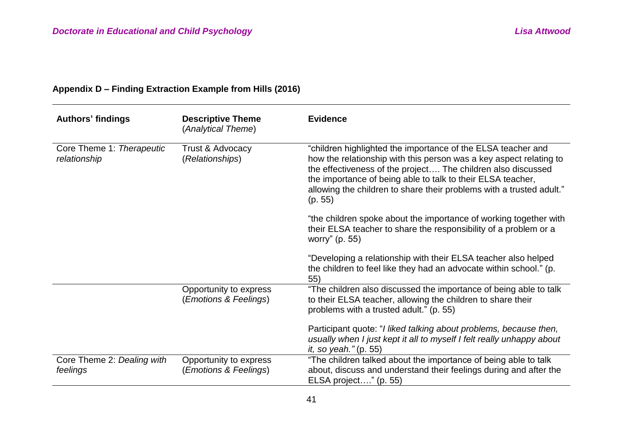| <b>Authors' findings</b>                  | <b>Descriptive Theme</b><br>(Analytical Theme)  | <b>Evidence</b>                                                                                                                                                                                                                                                                                                                                      |
|-------------------------------------------|-------------------------------------------------|------------------------------------------------------------------------------------------------------------------------------------------------------------------------------------------------------------------------------------------------------------------------------------------------------------------------------------------------------|
| Core Theme 1: Therapeutic<br>relationship | Trust & Advocacy<br>(Relationships)             | "children highlighted the importance of the ELSA teacher and<br>how the relationship with this person was a key aspect relating to<br>the effectiveness of the project The children also discussed<br>the importance of being able to talk to their ELSA teacher,<br>allowing the children to share their problems with a trusted adult."<br>(p. 55) |
|                                           |                                                 | "the children spoke about the importance of working together with<br>their ELSA teacher to share the responsibility of a problem or a<br>worry" (p. 55)                                                                                                                                                                                              |
|                                           |                                                 | "Developing a relationship with their ELSA teacher also helped<br>the children to feel like they had an advocate within school." (p.<br>55)                                                                                                                                                                                                          |
|                                           | Opportunity to express<br>(Emotions & Feelings) | "The children also discussed the importance of being able to talk<br>to their ELSA teacher, allowing the children to share their<br>problems with a trusted adult." (p. 55)                                                                                                                                                                          |
|                                           |                                                 | Participant quote: "I liked talking about problems, because then,<br>usually when I just kept it all to myself I felt really unhappy about<br><i>it, so yeah."</i> (p. 55)                                                                                                                                                                           |
| Core Theme 2: Dealing with<br>feelings    | Opportunity to express<br>(Emotions & Feelings) | "The children talked about the importance of being able to talk<br>about, discuss and understand their feelings during and after the<br>ELSA project" (p. 55)                                                                                                                                                                                        |

# **Appendix D – Finding Extraction Example from Hills (2016)**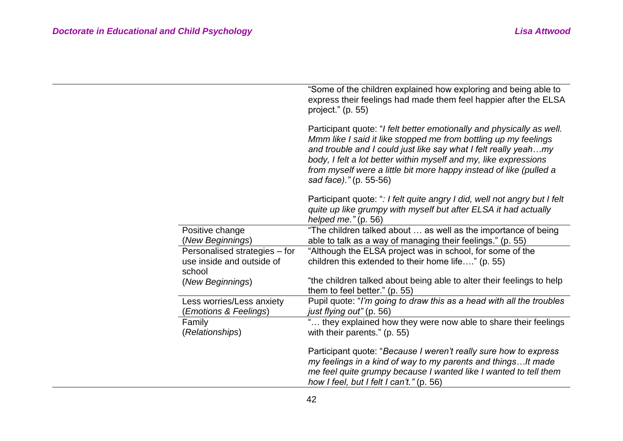|                                                                      | "Some of the children explained how exploring and being able to<br>express their feelings had made them feel happier after the ELSA<br>project." $(p. 55)$                                                                                                                                                                                                                      |
|----------------------------------------------------------------------|---------------------------------------------------------------------------------------------------------------------------------------------------------------------------------------------------------------------------------------------------------------------------------------------------------------------------------------------------------------------------------|
|                                                                      | Participant quote: "I felt better emotionally and physically as well.<br>Mmm like I said it like stopped me from bottling up my feelings<br>and trouble and I could just like say what I felt really yeahmy<br>body, I felt a lot better within myself and my, like expressions<br>from myself were a little bit more happy instead of like (pulled a<br>sad face)." (p. 55-56) |
|                                                                      | Participant quote: ": I felt quite angry I did, well not angry but I felt<br>quite up like grumpy with myself but after ELSA it had actually<br>helped me." $(p. 56)$                                                                                                                                                                                                           |
| Positive change<br>(New Beginnings)                                  | "The children talked about  as well as the importance of being<br>able to talk as a way of managing their feelings." (p. 55)                                                                                                                                                                                                                                                    |
| Personalised strategies - for<br>use inside and outside of<br>school | "Although the ELSA project was in school, for some of the<br>children this extended to their home life" (p. 55)                                                                                                                                                                                                                                                                 |
| (New Beginnings)                                                     | "the children talked about being able to alter their feelings to help<br>them to feel better." (p. 55)                                                                                                                                                                                                                                                                          |
| Less worries/Less anxiety<br><b>Emotions &amp; Feelings)</b>         | Pupil quote: "I'm going to draw this as a head with all the troubles<br>just flying out" (p. 56)                                                                                                                                                                                                                                                                                |
| Family<br>(Relationships)                                            | " they explained how they were now able to share their feelings<br>with their parents." (p. 55)                                                                                                                                                                                                                                                                                 |
|                                                                      | Participant quote: "Because I weren't really sure how to express<br>my feelings in a kind of way to my parents and things It made<br>me feel quite grumpy because I wanted like I wanted to tell them<br>how I feel, but I felt I can't." (p. 56)                                                                                                                               |